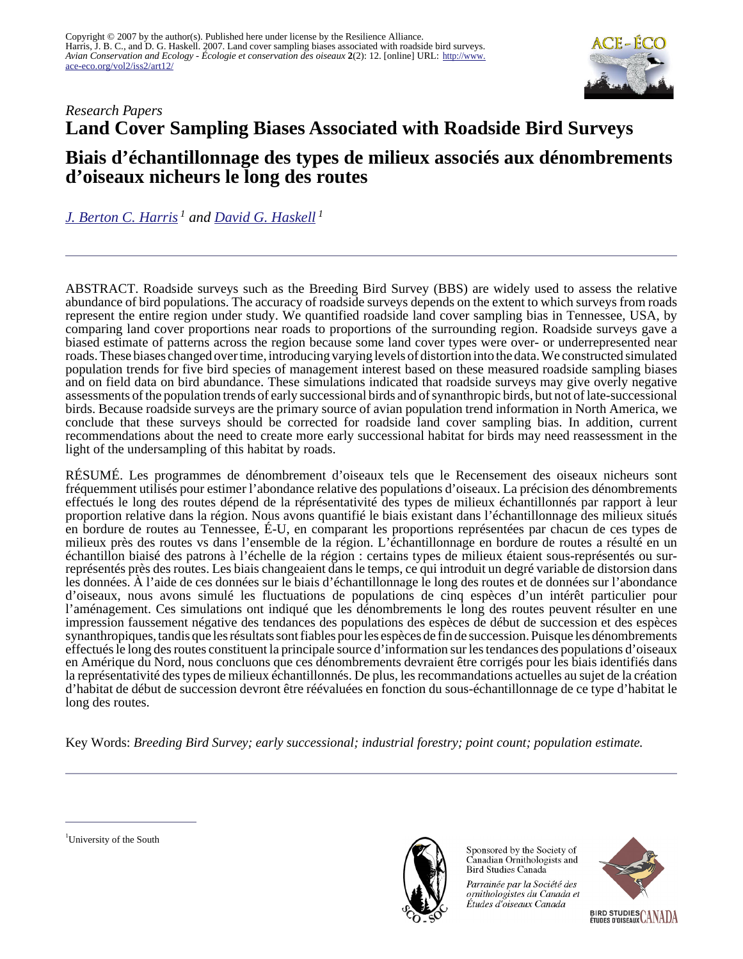

## *Research Papers* **Land Cover Sampling Biases Associated with Roadside Bird Surveys**

# **Biais d'échantillonnage des types de milieux associés aux dénombrements d'oiseaux nicheurs le long des routes**

*[J. Berton C. Harris](mailto:bertdichrozona@hotmail.com)<sup>1</sup> and [David G. Haskell](mailto:dhaskell@sewanee.edu)<sup>1</sup>*

ABSTRACT. Roadside surveys such as the Breeding Bird Survey (BBS) are widely used to assess the relative abundance of bird populations. The accuracy of roadside surveys depends on the extent to which surveys from roads represent the entire region under study. We quantified roadside land cover sampling bias in Tennessee, USA, by comparing land cover proportions near roads to proportions of the surrounding region. Roadside surveys gave a biased estimate of patterns across the region because some land cover types were over- or underrepresented near roads. These biases changed over time, introducing varying levels of distortion into the data. We constructed simulated population trends for five bird species of management interest based on these measured roadside sampling biases and on field data on bird abundance. These simulations indicated that roadside surveys may give overly negative assessments of the population trends of early successional birds and of synanthropic birds, but not of late-successional birds. Because roadside surveys are the primary source of avian population trend information in North America, we conclude that these surveys should be corrected for roadside land cover sampling bias. In addition, current recommendations about the need to create more early successional habitat for birds may need reassessment in the light of the undersampling of this habitat by roads.

RÉSUMÉ. Les programmes de dénombrement d'oiseaux tels que le Recensement des oiseaux nicheurs sont fréquemment utilisés pour estimer l'abondance relative des populations d'oiseaux. La précision des dénombrements effectués le long des routes dépend de la réprésentativité des types de milieux échantillonnés par rapport à leur proportion relative dans la région. Nous avons quantifié le biais existant dans l'échantillonnage des milieux situés en bordure de routes au Tennessee, É-U, en comparant les proportions représentées par chacun de ces types de milieux près des routes vs dans l'ensemble de la région. L'échantillonnage en bordure de routes a résulté en un échantillon biaisé des patrons à l'échelle de la région : certains types de milieux étaient sous-représentés ou surreprésentés près des routes. Les biais changeaient dans le temps, ce qui introduit un degré variable de distorsion dans les données. À l'aide de ces données sur le biais d'échantillonnage le long des routes et de données sur l'abondance d'oiseaux, nous avons simulé les fluctuations de populations de cinq espèces d'un intérêt particulier pour l'aménagement. Ces simulations ont indiqué que les dénombrements le long des routes peuvent résulter en une impression faussement négative des tendances des populations des espèces de début de succession et des espèces synanthropiques, tandis que les résultats sont fiables pour les espèces de fin de succession. Puisque les dénombrements effectués le long des routes constituent la principale source d'information sur les tendances des populations d'oiseaux en Amérique du Nord, nous concluons que ces dénombrements devraient être corrigés pour les biais identifiés dans la représentativité des types de milieux échantillonnés. De plus, les recommandations actuelles au sujet de la création d'habitat de début de succession devront être réévaluées en fonction du sous-échantillonnage de ce type d'habitat le long des routes.

Key Words: *Breeding Bird Survey; early successional; industrial forestry; point count; population estimate.*

<sup>1</sup>University of the South



Sponsored by the Society of Canadian Ornithologists and Bird Studies Canada

Parrainée par la Société des ornithologistes du Canada et Études d'oiseaux Canada

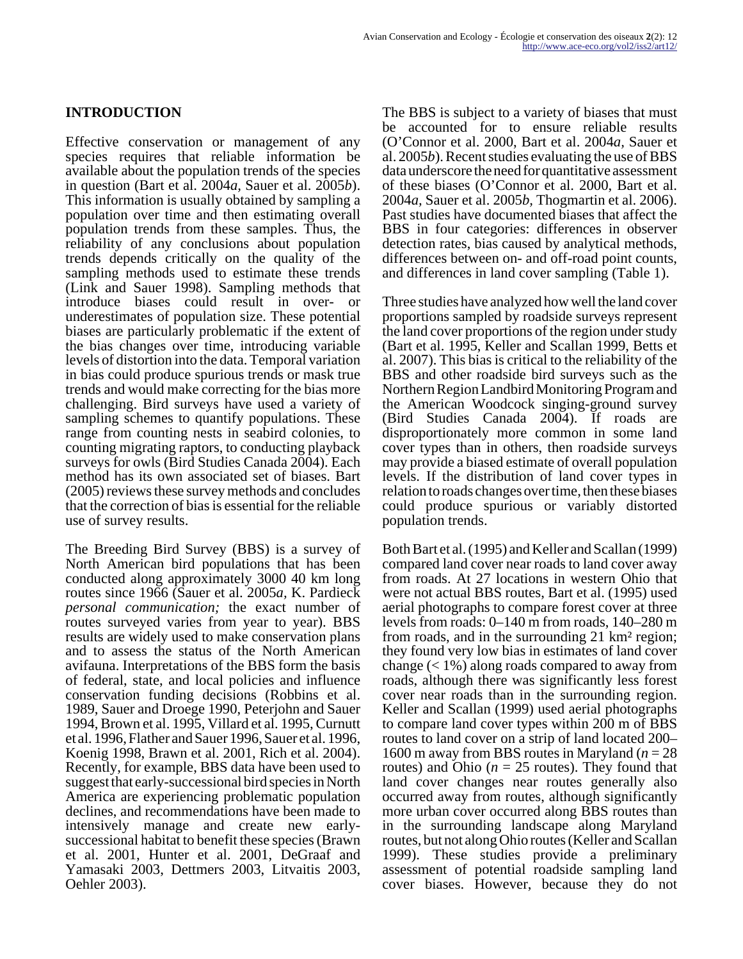## **INTRODUCTION**

Effective conservation or management of any species requires that reliable information be available about the population trends of the species in question (Bart et al. 2004*a,* Sauer et al. 2005*b*). This information is usually obtained by sampling a population over time and then estimating overall population trends from these samples. Thus, the reliability of any conclusions about population trends depends critically on the quality of the sampling methods used to estimate these trends (Link and Sauer 1998). Sampling methods that introduce biases could result in over- or underestimates of population size. These potential biases are particularly problematic if the extent of the bias changes over time, introducing variable levels of distortion into the data. Temporal variation in bias could produce spurious trends or mask true trends and would make correcting for the bias more challenging. Bird surveys have used a variety of sampling schemes to quantify populations. These range from counting nests in seabird colonies, to counting migrating raptors, to conducting playback surveys for owls (Bird Studies Canada 2004). Each method has its own associated set of biases. Bart (2005) reviews these survey methods and concludes that the correction of bias is essential for the reliable use of survey results.

The Breeding Bird Survey (BBS) is a survey of North American bird populations that has been conducted along approximately 3000 40 km long routes since 1966 (Sauer et al. 2005*a,* K. Pardieck *personal communication;* the exact number of routes surveyed varies from year to year). BBS results are widely used to make conservation plans and to assess the status of the North American avifauna. Interpretations of the BBS form the basis of federal, state, and local policies and influence conservation funding decisions (Robbins et al. 1989, Sauer and Droege 1990, Peterjohn and Sauer 1994, Brown et al. 1995, Villard et al. 1995, Curnutt et al. 1996, Flather and Sauer 1996, Sauer et al. 1996, Koenig 1998, Brawn et al. 2001, Rich et al. 2004). Recently, for example, BBS data have been used to suggest that early-successional bird species in North America are experiencing problematic population declines, and recommendations have been made to intensively manage and create new earlysuccessional habitat to benefit these species (Brawn et al. 2001, Hunter et al. 2001, DeGraaf and Yamasaki 2003, Dettmers 2003, Litvaitis 2003, Oehler 2003).

The BBS is subject to a variety of biases that must be accounted for to ensure reliable results (O'Connor et al. 2000, Bart et al. 2004*a,* Sauer et al. 2005*b*). Recent studies evaluating the use of BBS data underscore the need for quantitative assessment of these biases (O'Connor et al. 2000, Bart et al. 2004*a,* Sauer et al. 2005*b,* Thogmartin et al. 2006). Past studies have documented biases that affect the BBS in four categories: differences in observer detection rates, bias caused by analytical methods, differences between on- and off-road point counts, and differences in land cover sampling (Table 1).

Three studies have analyzed how well the land cover proportions sampled by roadside surveys represent the land cover proportions of the region under study (Bart et al. 1995, Keller and Scallan 1999, Betts et al. 2007). This bias is critical to the reliability of the BBS and other roadside bird surveys such as the Northern Region Landbird Monitoring Program and the American Woodcock singing-ground survey (Bird Studies Canada 2004). If roads are disproportionately more common in some land cover types than in others, then roadside surveys may provide a biased estimate of overall population levels. If the distribution of land cover types in relation to roads changes over time, then these biases could produce spurious or variably distorted population trends.

Both Bart et al. (1995) and Keller and Scallan (1999) compared land cover near roads to land cover away from roads. At 27 locations in western Ohio that were not actual BBS routes, Bart et al. (1995) used aerial photographs to compare forest cover at three levels from roads: 0–140 m from roads, 140–280 m from roads, and in the surrounding 21 km² region; they found very low bias in estimates of land cover change  $(< 1\%)$  along roads compared to away from roads, although there was significantly less forest cover near roads than in the surrounding region. Keller and Scallan (1999) used aerial photographs to compare land cover types within 200 m of BBS routes to land cover on a strip of land located 200– 1600 m away from BBS routes in Maryland (*n* = 28 routes) and Ohio ( $n = 25$  routes). They found that land cover changes near routes generally also occurred away from routes, although significantly more urban cover occurred along BBS routes than in the surrounding landscape along Maryland routes, but not along Ohio routes (Keller and Scallan 1999). These studies provide a preliminary assessment of potential roadside sampling land cover biases. However, because they do not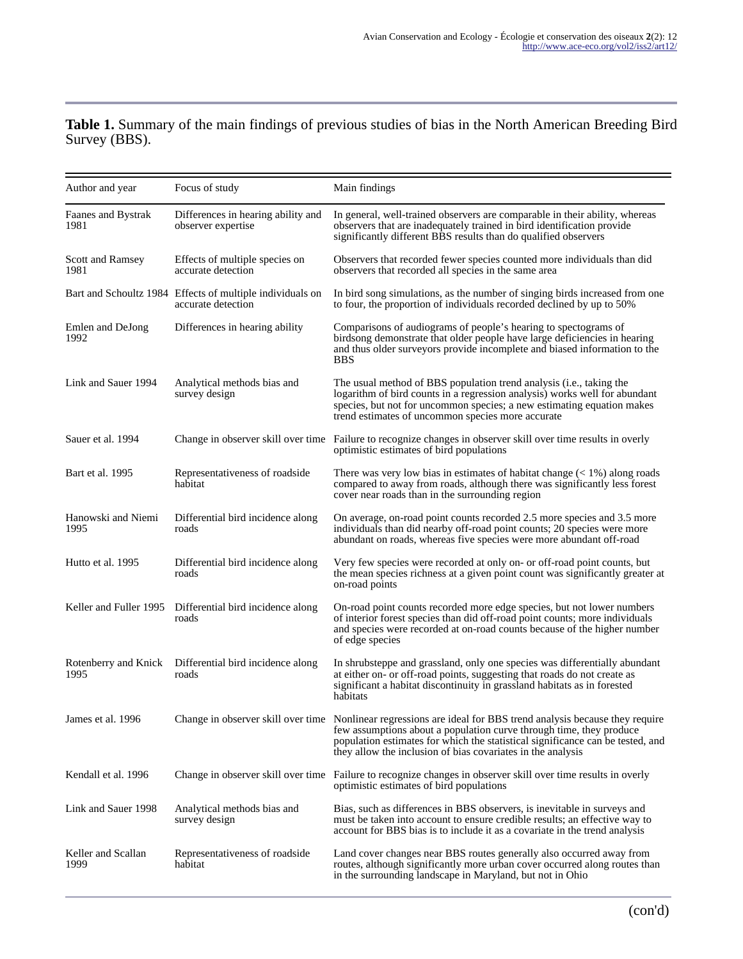## **Table 1.** Summary of the main findings of previous studies of bias in the North American Breeding Bird Survey (BBS).

| Author and year                 | Focus of study                                                                  | Main findings                                                                                                                                                                                                                                                                                                                          |
|---------------------------------|---------------------------------------------------------------------------------|----------------------------------------------------------------------------------------------------------------------------------------------------------------------------------------------------------------------------------------------------------------------------------------------------------------------------------------|
| Faanes and Bystrak<br>1981      | Differences in hearing ability and<br>observer expertise                        | In general, well-trained observers are comparable in their ability, whereas<br>observers that are inadequately trained in bird identification provide<br>significantly different BBS results than do qualified observers                                                                                                               |
| <b>Scott and Ramsey</b><br>1981 | Effects of multiple species on<br>accurate detection                            | Observers that recorded fewer species counted more individuals than did<br>observers that recorded all species in the same area                                                                                                                                                                                                        |
|                                 | Bart and Schoultz 1984 Effects of multiple individuals on<br>accurate detection | In bird song simulations, as the number of singing birds increased from one<br>to four, the proportion of individuals recorded declined by up to 50%                                                                                                                                                                                   |
| Emlen and DeJong<br>1992        | Differences in hearing ability                                                  | Comparisons of audiograms of people's hearing to spectograms of<br>birdsong demonstrate that older people have large deficiencies in hearing<br>and thus older surveyors provide incomplete and biased information to the<br><b>BBS</b>                                                                                                |
| Link and Sauer 1994             | Analytical methods bias and<br>survey design                                    | The usual method of BBS population trend analysis (i.e., taking the<br>logarithm of bird counts in a regression analysis) works well for abundant<br>species, but not for uncommon species; a new estimating equation makes<br>trend estimates of uncommon species more accurate                                                       |
| Sauer et al. 1994               |                                                                                 | Change in observer skill over time Failure to recognize changes in observer skill over time results in overly<br>optimistic estimates of bird populations                                                                                                                                                                              |
| Bart et al. 1995                | Representativeness of roadside<br>habitat                                       | There was very low bias in estimates of habitat change $(< 1\%$ ) along roads<br>compared to away from roads, although there was significantly less forest<br>cover near roads than in the surrounding region                                                                                                                          |
| Hanowski and Niemi<br>1995      | Differential bird incidence along<br>roads                                      | On average, on-road point counts recorded 2.5 more species and 3.5 more<br>individuals than did nearby off-road point counts; 20 species were more<br>abundant on roads, whereas five species were more abundant off-road                                                                                                              |
| Hutto et al. 1995               | Differential bird incidence along<br>roads                                      | Very few species were recorded at only on- or off-road point counts, but<br>the mean species richness at a given point count was significantly greater at<br>on-road points                                                                                                                                                            |
| Keller and Fuller 1995          | Differential bird incidence along<br>roads                                      | On-road point counts recorded more edge species, but not lower numbers<br>of interior forest species than did off-road point counts; more individuals<br>and species were recorded at on-road counts because of the higher number<br>of edge species                                                                                   |
| Rotenberry and Knick<br>1995    | Differential bird incidence along<br>roads                                      | In shrubsteppe and grassland, only one species was differentially abundant<br>at either on- or off-road points, suggesting that roads do not create as<br>significant a habitat discontinuity in grassland habitats as in forested<br>habitats                                                                                         |
| James et al. 1996               |                                                                                 | Change in observer skill over time Nonlinear regressions are ideal for BBS trend analysis because they require<br>few assumptions about a population curve through time, they produce<br>population estimates for which the statistical significance can be tested, and<br>they allow the inclusion of bias covariates in the analysis |
| Kendall et al. 1996             |                                                                                 | Change in observer skill over time Failure to recognize changes in observer skill over time results in overly<br>optimistic estimates of bird populations                                                                                                                                                                              |
| Link and Sauer 1998             | Analytical methods bias and<br>survey design                                    | Bias, such as differences in BBS observers, is inevitable in surveys and<br>must be taken into account to ensure credible results; an effective way to<br>account for BBS bias is to include it as a covariate in the trend analysis                                                                                                   |
| Keller and Scallan<br>1999      | Representativeness of roadside<br>habitat                                       | Land cover changes near BBS routes generally also occurred away from<br>routes, although significantly more urban cover occurred along routes than<br>in the surrounding landscape in Maryland, but not in Ohio                                                                                                                        |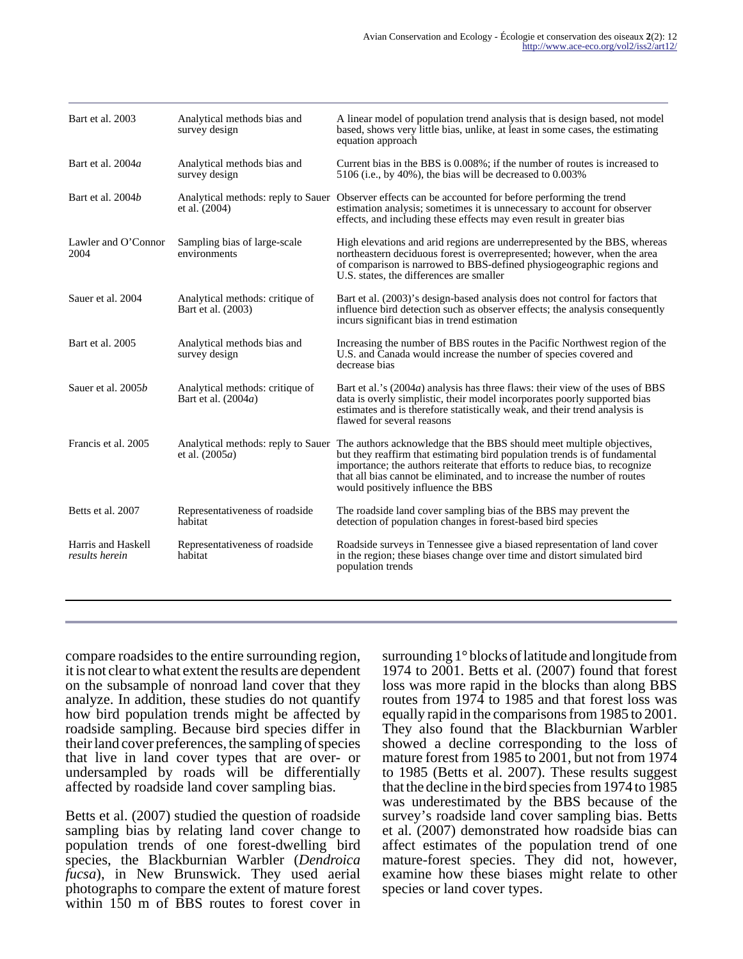| Bart et al. 2003                     | Analytical methods bias and<br>survey design             | A linear model of population trend analysis that is design based, not model<br>based, shows very little bias, unlike, at least in some cases, the estimating<br>equation approach                                                                                                                                                                                                       |
|--------------------------------------|----------------------------------------------------------|-----------------------------------------------------------------------------------------------------------------------------------------------------------------------------------------------------------------------------------------------------------------------------------------------------------------------------------------------------------------------------------------|
| Bart et al. 2004a                    | Analytical methods bias and<br>survey design             | Current bias in the BBS is 0.008%; if the number of routes is increased to<br>5106 (i.e., by 40%), the bias will be decreased to $0.003\%$                                                                                                                                                                                                                                              |
| Bart et al. 2004b                    | et al. (2004)                                            | Analytical methods: reply to Sauer Observer effects can be accounted for before performing the trend<br>estimation analysis; sometimes it is unnecessary to account for observer<br>effects, and including these effects may even result in greater bias                                                                                                                                |
| Lawler and O'Connor<br>2004          | Sampling bias of large-scale<br>environments             | High elevations and arid regions are underrepresented by the BBS, whereas<br>northeastern deciduous forest is overrepresented; however, when the area<br>of comparison is narrowed to BBS-defined physiogeographic regions and<br>U.S. states, the differences are smaller                                                                                                              |
| Sauer et al. 2004                    | Analytical methods: critique of<br>Bart et al. (2003)    | Bart et al. (2003)'s design-based analysis does not control for factors that<br>influence bird detection such as observer effects; the analysis consequently<br>incurs significant bias in trend estimation                                                                                                                                                                             |
| Bart et al. 2005                     | Analytical methods bias and<br>survey design             | Increasing the number of BBS routes in the Pacific Northwest region of the<br>U.S. and Canada would increase the number of species covered and<br>decrease bias                                                                                                                                                                                                                         |
| Sauer et al. 2005 <i>b</i>           | Analytical methods: critique of<br>Bart et al. $(2004a)$ | Bart et al.'s (2004a) analysis has three flaws: their view of the uses of BBS<br>data is overly simplistic, their model incorporates poorly supported bias<br>estimates and is therefore statistically weak, and their trend analysis is<br>flawed for several reasons                                                                                                                  |
| Francis et al. 2005                  | et al. $(2005a)$                                         | Analytical methods: reply to Sauer The authors acknowledge that the BBS should meet multiple objectives,<br>but they reaffirm that estimating bird population trends is of fundamental<br>importance; the authors reiterate that efforts to reduce bias, to recognize<br>that all bias cannot be eliminated, and to increase the number of routes<br>would positively influence the BBS |
| Betts et al. 2007                    | Representativeness of roadside<br>habitat                | The roadside land cover sampling bias of the BBS may prevent the<br>detection of population changes in forest-based bird species                                                                                                                                                                                                                                                        |
| Harris and Haskell<br>results herein | Representativeness of roadside<br>habitat                | Roadside surveys in Tennessee give a biased representation of land cover<br>in the region; these biases change over time and distort simulated bird<br>population trends                                                                                                                                                                                                                |

compare roadsides to the entire surrounding region, it is not clear to what extent the results are dependent on the subsample of nonroad land cover that they analyze. In addition, these studies do not quantify how bird population trends might be affected by roadside sampling. Because bird species differ in their land cover preferences, the sampling of species that live in land cover types that are over- or undersampled by roads will be differentially affected by roadside land cover sampling bias.

Betts et al. (2007) studied the question of roadside sampling bias by relating land cover change to population trends of one forest-dwelling bird species, the Blackburnian Warbler (*Dendroica fucsa*), in New Brunswick. They used aerial photographs to compare the extent of mature forest within 150 m of BBS routes to forest cover in

surrounding 1° blocks of latitude and longitude from 1974 to 2001. Betts et al. (2007) found that forest loss was more rapid in the blocks than along BBS routes from 1974 to 1985 and that forest loss was equally rapid in the comparisons from 1985 to 2001. They also found that the Blackburnian Warbler showed a decline corresponding to the loss of mature forest from 1985 to 2001, but not from 1974 to 1985 (Betts et al. 2007). These results suggest that the decline in the bird species from 1974 to 1985 was underestimated by the BBS because of the survey's roadside land cover sampling bias. Betts et al. (2007) demonstrated how roadside bias can affect estimates of the population trend of one mature-forest species. They did not, however, examine how these biases might relate to other species or land cover types.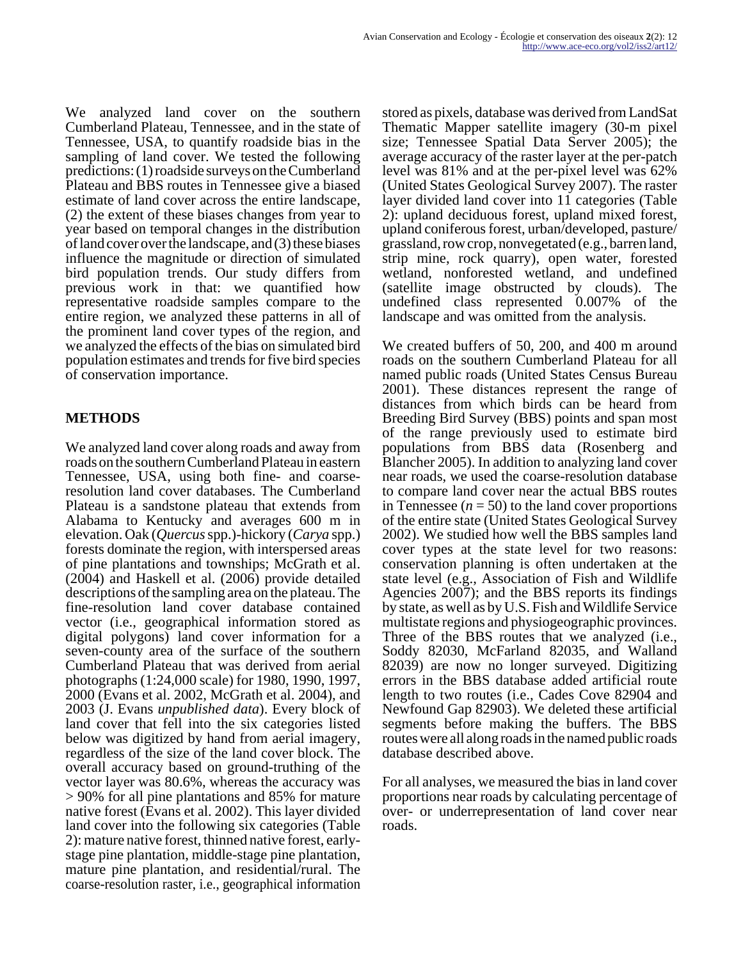We analyzed land cover on the southern Cumberland Plateau, Tennessee, and in the state of Tennessee, USA, to quantify roadside bias in the sampling of land cover. We tested the following predictions: (1) roadside surveys on the Cumberland Plateau and BBS routes in Tennessee give a biased estimate of land cover across the entire landscape, (2) the extent of these biases changes from year to year based on temporal changes in the distribution of land cover over the landscape, and (3) these biases influence the magnitude or direction of simulated bird population trends. Our study differs from previous work in that: we quantified how representative roadside samples compare to the entire region, we analyzed these patterns in all of the prominent land cover types of the region, and we analyzed the effects of the bias on simulated bird population estimates and trends for five bird species of conservation importance.

## **METHODS**

We analyzed land cover along roads and away from roads on the southern Cumberland Plateau in eastern Tennessee, USA, using both fine- and coarseresolution land cover databases. The Cumberland Plateau is a sandstone plateau that extends from Alabama to Kentucky and averages 600 m in elevation. Oak (*Quercus* spp.)-hickory (*Carya* spp.) forests dominate the region, with interspersed areas of pine plantations and townships; McGrath et al. (2004) and Haskell et al. (2006) provide detailed descriptions of the sampling area on the plateau. The fine-resolution land cover database contained vector (i.e., geographical information stored as digital polygons) land cover information for a seven-county area of the surface of the southern Cumberland Plateau that was derived from aerial photographs (1:24,000 scale) for 1980, 1990, 1997, 2000 (Evans et al. 2002, McGrath et al. 2004), and 2003 (J. Evans *unpublished data*). Every block of land cover that fell into the six categories listed below was digitized by hand from aerial imagery, regardless of the size of the land cover block. The overall accuracy based on ground-truthing of the vector layer was 80.6%, whereas the accuracy was > 90% for all pine plantations and 85% for mature native forest (Evans et al. 2002). This layer divided land cover into the following six categories (Table 2): mature native forest, thinned native forest, earlystage pine plantation, middle-stage pine plantation, mature pine plantation, and residential/rural. The coarse-resolution raster, i.e., geographical information

stored as pixels, database was derived from LandSat Thematic Mapper satellite imagery (30-m pixel size; Tennessee Spatial Data Server 2005); the average accuracy of the raster layer at the per-patch level was 81% and at the per-pixel level was 62% (United States Geological Survey 2007). The raster layer divided land cover into 11 categories (Table 2): upland deciduous forest, upland mixed forest, upland coniferous forest, urban/developed, pasture/ grassland, row crop, nonvegetated (e.g., barren land, strip mine, rock quarry), open water, forested wetland, nonforested wetland, and undefined (satellite image obstructed by clouds). The undefined class represented 0.007% of the landscape and was omitted from the analysis.

We created buffers of 50, 200, and 400 m around roads on the southern Cumberland Plateau for all named public roads (United States Census Bureau 2001). These distances represent the range of distances from which birds can be heard from Breeding Bird Survey (BBS) points and span most of the range previously used to estimate bird populations from BBS data (Rosenberg and Blancher 2005). In addition to analyzing land cover near roads, we used the coarse-resolution database to compare land cover near the actual BBS routes in Tennessee  $(n = 50)$  to the land cover proportions of the entire state (United States Geological Survey 2002). We studied how well the BBS samples land cover types at the state level for two reasons: conservation planning is often undertaken at the state level (e.g., Association of Fish and Wildlife Agencies 2007); and the BBS reports its findings by state, as well as by U.S. Fish and Wildlife Service multistate regions and physiogeographic provinces. Three of the BBS routes that we analyzed (i.e., Soddy 82030, McFarland 82035, and Walland 82039) are now no longer surveyed. Digitizing errors in the BBS database added artificial route length to two routes (i.e., Cades Cove 82904 and Newfound Gap 82903). We deleted these artificial segments before making the buffers. The BBS routes were all along roads in the named public roads database described above.

For all analyses, we measured the bias in land cover proportions near roads by calculating percentage of over- or underrepresentation of land cover near roads.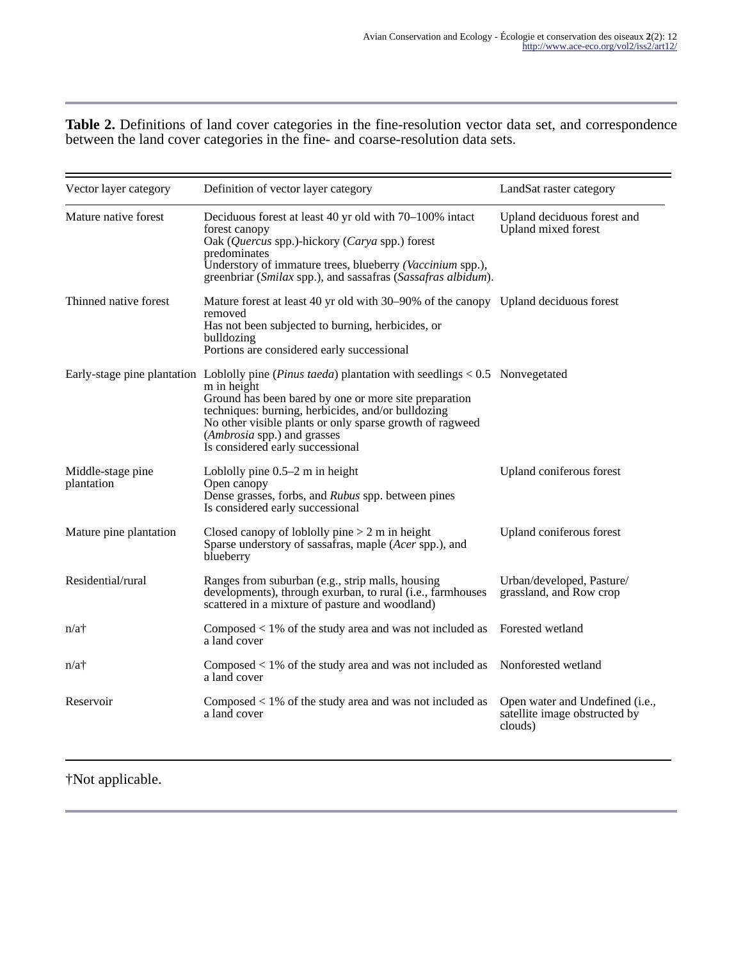**Table 2.** Definitions of land cover categories in the fine-resolution vector data set, and correspondence between the land cover categories in the fine- and coarse-resolution data sets.

| Vector layer category           | Definition of vector layer category                                                                                                                                                                                                                                                                                                                                          | LandSat raster category                                                     |
|---------------------------------|------------------------------------------------------------------------------------------------------------------------------------------------------------------------------------------------------------------------------------------------------------------------------------------------------------------------------------------------------------------------------|-----------------------------------------------------------------------------|
| Mature native forest            | Deciduous forest at least 40 yr old with 70–100% intact<br>forest canopy<br>Oak (Quercus spp.)-hickory (Carya spp.) forest<br>predominates<br>Understory of immature trees, blueberry (Vaccinium spp.),<br>greenbriar (Smilax spp.), and sassafras (Sassafras albidum).                                                                                                      | Upland deciduous forest and<br>Upland mixed forest                          |
| Thinned native forest           | Mature forest at least 40 yr old with 30–90% of the canopy Upland deciduous forest<br>removed<br>Has not been subjected to burning, herbicides, or<br>bulldozing<br>Portions are considered early successional                                                                                                                                                               |                                                                             |
|                                 | Early-stage pine plantation Loblolly pine ( <i>Pinus taeda</i> ) plantation with seedlings $< 0.5$ Nonvegetated<br>m in height<br>Ground has been bared by one or more site preparation<br>techniques: burning, herbicides, and/or bulldozing<br>No other visible plants or only sparse growth of ragweed<br>(Ambrosia spp.) and grasses<br>Is considered early successional |                                                                             |
| Middle-stage pine<br>plantation | Loblolly pine $0.5-2$ m in height<br>Open canopy<br>Dense grasses, forbs, and Rubus spp. between pines<br>Is considered early successional                                                                                                                                                                                                                                   | Upland coniferous forest                                                    |
| Mature pine plantation          | Closed canopy of loblolly pine $> 2$ m in height<br>Sparse understory of sassafras, maple (Acer spp.), and<br>blueberry                                                                                                                                                                                                                                                      | Upland coniferous forest                                                    |
| Residential/rural               | Ranges from suburban (e.g., strip malls, housing<br>developments), through exurban, to rural (i.e., farmhouses<br>scattered in a mixture of pasture and woodland)                                                                                                                                                                                                            | Urban/developed, Pasture/<br>grassland, and Row crop                        |
| n/a†                            | Composed $<$ 1% of the study area and was not included as<br>a land cover                                                                                                                                                                                                                                                                                                    | Forested wetland                                                            |
| n/a†                            | Composed $<$ 1% of the study area and was not included as<br>a land cover                                                                                                                                                                                                                                                                                                    | Nonforested wetland                                                         |
| Reservoir                       | Composed $<$ 1% of the study area and was not included as<br>a land cover                                                                                                                                                                                                                                                                                                    | Open water and Undefined (i.e.,<br>satellite image obstructed by<br>clouds) |

†Not applicable.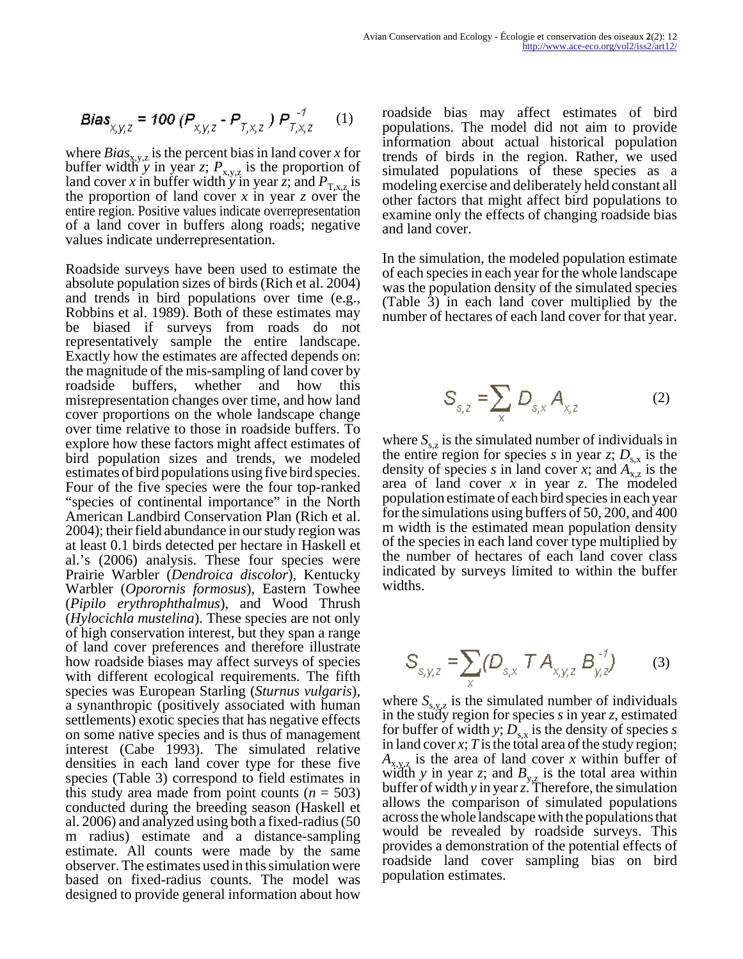Bias<sub>X,Y,Z</sub> = 100 (
$$
P_{X,Y,Z} - P_{T,X,Z} \cdot P_{T,X,Z}^{-1}
$$
 (1)

where  $Bias_{x,y,z}$  is the percent bias in land cover *x* for buffer width *y* in year *z*;  $P_{x,y,z}$  is the proportion of land cover *x* in buffer width *y* in year *z*; and  $P_{T,x,z}$  is the proportion of land cover *x* in year *z* over the entire region. Positive values indicate overrepresentation of a land cover in buffers along roads; negative values indicate underrepresentation.

Roadside surveys have been used to estimate the absolute population sizes of birds (Rich et al. 2004) and trends in bird populations over time (e.g., Robbins et al. 1989). Both of these estimates may be biased if surveys from roads do not representatively sample the entire landscape. Exactly how the estimates are affected depends on: the magnitude of the mis-sampling of land cover by roadside buffers, whether and how this misrepresentation changes over time, and how land cover proportions on the whole landscape change over time relative to those in roadside buffers. To explore how these factors might affect estimates of bird population sizes and trends, we modeled estimates of bird populations using five bird species. Four of the five species were the four top-ranked "species of continental importance" in the North American Landbird Conservation Plan (Rich et al. 2004); their field abundance in our study region was at least 0.1 birds detected per hectare in Haskell et al.'s (2006) analysis. These four species were Prairie Warbler (*Dendroica discolor*), Kentucky Warbler (*Oporornis formosus*), Eastern Towhee (*Pipilo erythrophthalmus*), and Wood Thrush (*Hylocichla mustelina*). These species are not only of high conservation interest, but they span a range of land cover preferences and therefore illustrate how roadside biases may affect surveys of species with different ecological requirements. The fifth species was European Starling (*Sturnus vulgaris*), a synanthropic (positively associated with human settlements) exotic species that has negative effects on some native species and is thus of management interest (Cabe 1993). The simulated relative densities in each land cover type for these five species (Table 3) correspond to field estimates in this study area made from point counts  $(n = 503)$ conducted during the breeding season (Haskell et al. 2006) and analyzed using both a fixed-radius (50 m radius) estimate and a distance-sampling estimate. All counts were made by the same observer. The estimates used in this simulation were based on fixed-radius counts. The model was designed to provide general information about how

roadside bias may affect estimates of bird populations. The model did not aim to provide information about actual historical population trends of birds in the region. Rather, we used simulated populations of these species as a modeling exercise and deliberately held constant all other factors that might affect bird populations to examine only the effects of changing roadside bias and land cover.

In the simulation, the modeled population estimate of each species in each year for the whole landscape was the population density of the simulated species (Table 3) in each land cover multiplied by the number of hectares of each land cover for that year.

$$
S_{s,z} = \sum_{x} D_{s,x} A_{x,z} \tag{2}
$$

where  $S_{s,z}$  is the simulated number of individuals in the entire region for species *s* in year *z*;  $D_{s,x}$  is the density of species *s* in land cover *x*; and  $A_{x,z}$  is the area of land cover *x* in year *z*. The modeled population estimate of each bird species in each year for the simulations using buffers of 50, 200, and 400 m width is the estimated mean population density of the species in each land cover type multiplied by the number of hectares of each land cover class indicated by surveys limited to within the buffer widths.

$$
S_{s,y,z} = \sum_{x} (D_{s,x} T A_{x,y,z} B_{y,z}^{-1})
$$
 (3)

where  $S_{s,y,z}$  is the simulated number of individuals in the study region for species *s* in year *z*, estimated for buffer of width *y*;  $D_{s}$  is the density of species *s* in land cover *x*; *T* is the total area of the study region;  $A_{x,y,z}$  is the area of land cover *x* within buffer of width *y* in year *z*; and  $B_{y,z}$  is the total area within buffer of width *y* in year *z*. Therefore, the simulation allows the comparison of simulated populations across the whole landscape with the populations that would be revealed by roadside surveys. This provides a demonstration of the potential effects of roadside land cover sampling bias on bird population estimates.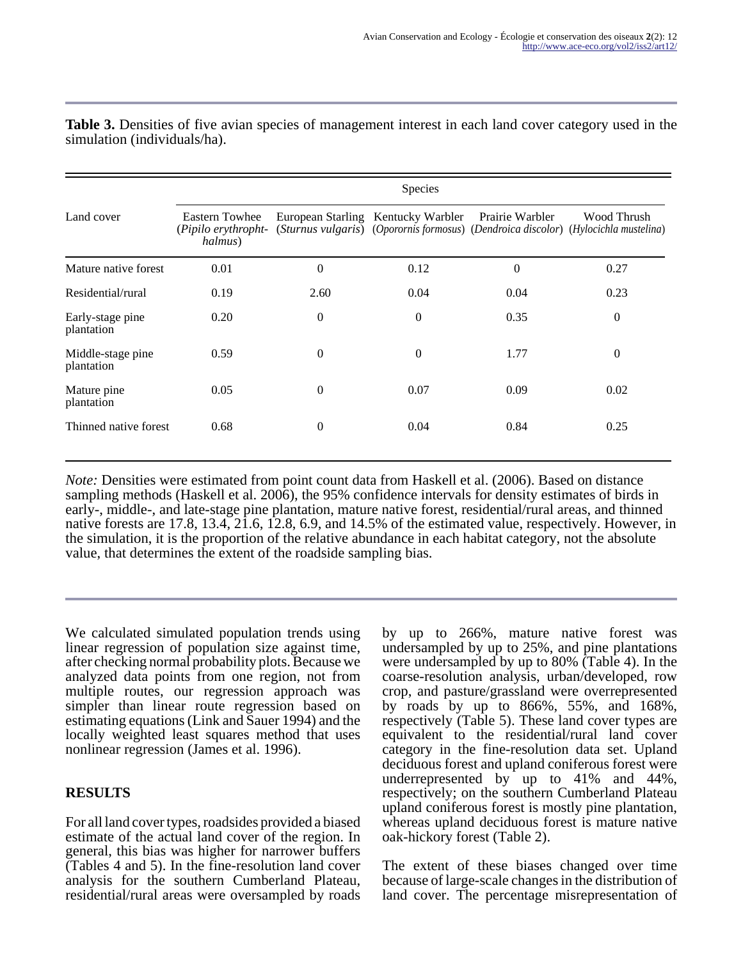|                                 | Species                                                 |          |                                                    |          |                                                                                                    |
|---------------------------------|---------------------------------------------------------|----------|----------------------------------------------------|----------|----------------------------------------------------------------------------------------------------|
| Land cover                      | <b>Eastern Towhee</b><br>(Pipilo erythropht-<br>halmus) |          | European Starling Kentucky Warbler Prairie Warbler |          | Wood Thrush<br>(Sturnus vulgaris) (Oporornis formosus) (Dendroica discolor) (Hylocichla mustelina) |
| Mature native forest            | 0.01                                                    | $\theta$ | 0.12                                               | $\theta$ | 0.27                                                                                               |
| Residential/rural               | 0.19                                                    | 2.60     | 0.04                                               | 0.04     | 0.23                                                                                               |
| Early-stage pine<br>plantation  | 0.20                                                    | $\theta$ | $\theta$                                           | 0.35     | $\boldsymbol{0}$                                                                                   |
| Middle-stage pine<br>plantation | 0.59                                                    | $\Omega$ | $\theta$                                           | 1.77     | $\overline{0}$                                                                                     |
| Mature pine<br>plantation       | 0.05                                                    | $\Omega$ | 0.07                                               | 0.09     | 0.02                                                                                               |
| Thinned native forest           | 0.68                                                    | $\theta$ | 0.04                                               | 0.84     | 0.25                                                                                               |

**Table 3.** Densities of five avian species of management interest in each land cover category used in the simulation (individuals/ha).

*Note:* Densities were estimated from point count data from Haskell et al. (2006). Based on distance sampling methods (Haskell et al. 2006), the 95% confidence intervals for density estimates of birds in early-, middle-, and late-stage pine plantation, mature native forest, residential/rural areas, and thinned native forests are 17.8, 13.4, 21.6, 12.8, 6.9, and 14.5% of the estimated value, respectively. However, in the simulation, it is the proportion of the relative abundance in each habitat category, not the absolute value, that determines the extent of the roadside sampling bias.

We calculated simulated population trends using linear regression of population size against time, after checking normal probability plots. Because we analyzed data points from one region, not from multiple routes, our regression approach was simpler than linear route regression based on estimating equations (Link and Sauer 1994) and the locally weighted least squares method that uses nonlinear regression (James et al. 1996).

## **RESULTS**

For all land cover types, roadsides provided a biased estimate of the actual land cover of the region. In general, this bias was higher for narrower buffers (Tables 4 and 5). In the fine-resolution land cover analysis for the southern Cumberland Plateau, residential/rural areas were oversampled by roads

by up to 266%, mature native forest was undersampled by up to 25%, and pine plantations were undersampled by up to 80% (Table 4). In the coarse-resolution analysis, urban/developed, row crop, and pasture/grassland were overrepresented by roads by up to 866%, 55%, and 168%, respectively (Table 5). These land cover types are equivalent to the residential/rural land cover category in the fine-resolution data set. Upland deciduous forest and upland coniferous forest were underrepresented by up to 41% and 44%, respectively; on the southern Cumberland Plateau upland coniferous forest is mostly pine plantation, whereas upland deciduous forest is mature native oak-hickory forest (Table 2).

The extent of these biases changed over time because of large-scale changes in the distribution of land cover. The percentage misrepresentation of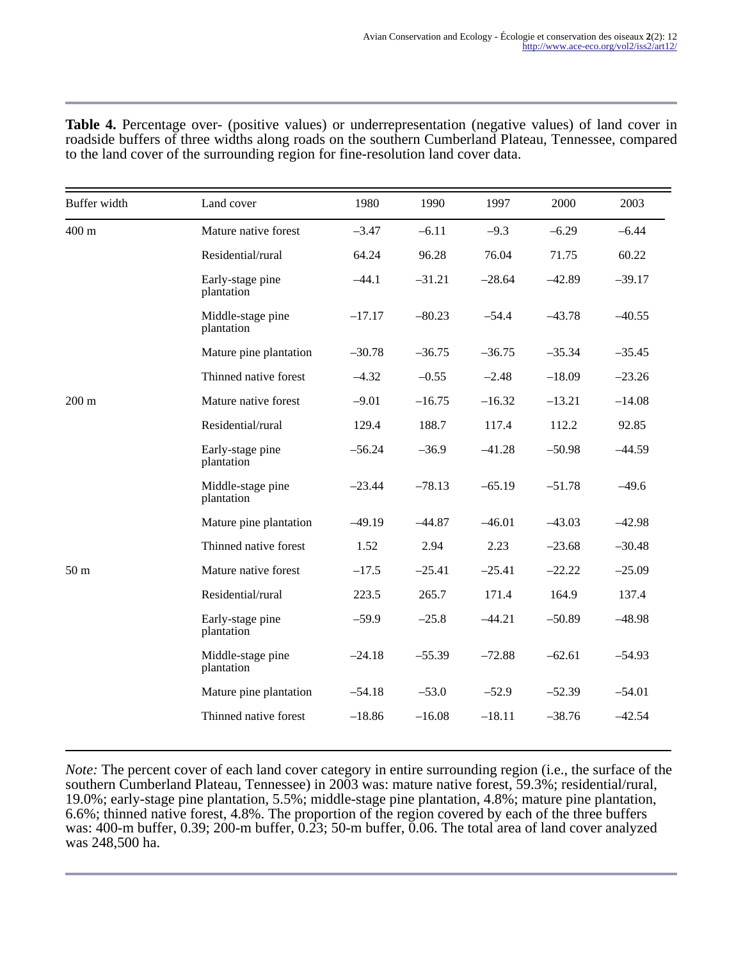| <b>Buffer</b> width | Land cover                      | 1980     | 1990     | 1997     | 2000     | 2003     |
|---------------------|---------------------------------|----------|----------|----------|----------|----------|
| 400 m               | Mature native forest            | $-3.47$  | $-6.11$  | $-9.3$   | $-6.29$  | $-6.44$  |
|                     | Residential/rural               | 64.24    | 96.28    | 76.04    | 71.75    | 60.22    |
|                     | Early-stage pine<br>plantation  | $-44.1$  | $-31.21$ | $-28.64$ | $-42.89$ | $-39.17$ |
|                     | Middle-stage pine<br>plantation | $-17.17$ | $-80.23$ | $-54.4$  | $-43.78$ | $-40.55$ |
|                     | Mature pine plantation          | $-30.78$ | $-36.75$ | $-36.75$ | $-35.34$ | $-35.45$ |
|                     | Thinned native forest           | $-4.32$  | $-0.55$  | $-2.48$  | $-18.09$ | $-23.26$ |
| $200 \text{ m}$     | Mature native forest            | $-9.01$  | $-16.75$ | $-16.32$ | $-13.21$ | $-14.08$ |
|                     | Residential/rural               | 129.4    | 188.7    | 117.4    | 112.2    | 92.85    |
|                     | Early-stage pine<br>plantation  | $-56.24$ | $-36.9$  | $-41.28$ | $-50.98$ | $-44.59$ |
|                     | Middle-stage pine<br>plantation | $-23.44$ | $-78.13$ | $-65.19$ | $-51.78$ | $-49.6$  |
|                     | Mature pine plantation          | $-49.19$ | $-44.87$ | $-46.01$ | $-43.03$ | $-42.98$ |
|                     | Thinned native forest           | 1.52     | 2.94     | 2.23     | $-23.68$ | $-30.48$ |
| 50 <sub>m</sub>     | Mature native forest            | $-17.5$  | $-25.41$ | $-25.41$ | $-22.22$ | $-25.09$ |
|                     | Residential/rural               | 223.5    | 265.7    | 171.4    | 164.9    | 137.4    |
|                     | Early-stage pine<br>plantation  | $-59.9$  | $-25.8$  | $-44.21$ | $-50.89$ | $-48.98$ |
|                     | Middle-stage pine<br>plantation | $-24.18$ | $-55.39$ | $-72.88$ | $-62.61$ | $-54.93$ |
|                     | Mature pine plantation          | $-54.18$ | $-53.0$  | $-52.9$  | $-52.39$ | $-54.01$ |
|                     | Thinned native forest           | $-18.86$ | $-16.08$ | $-18.11$ | $-38.76$ | $-42.54$ |

**Table 4.** Percentage over- (positive values) or underrepresentation (negative values) of land cover in roadside buffers of three widths along roads on the southern Cumberland Plateau, Tennessee, compared to the land cover of the surrounding region for fine-resolution land cover data.

*Note:* The percent cover of each land cover category in entire surrounding region (i.e., the surface of the southern Cumberland Plateau, Tennessee) in 2003 was: mature native forest, 59.3%; residential/rural, 19.0%; early-stage pine plantation, 5.5%; middle-stage pine plantation, 4.8%; mature pine plantation, 6.6%; thinned native forest, 4.8%. The proportion of the region covered by each of the three buffers was: 400-m buffer, 0.39; 200-m buffer, 0.23; 50-m buffer, 0.06. The total area of land cover analyzed was 248,500 ha.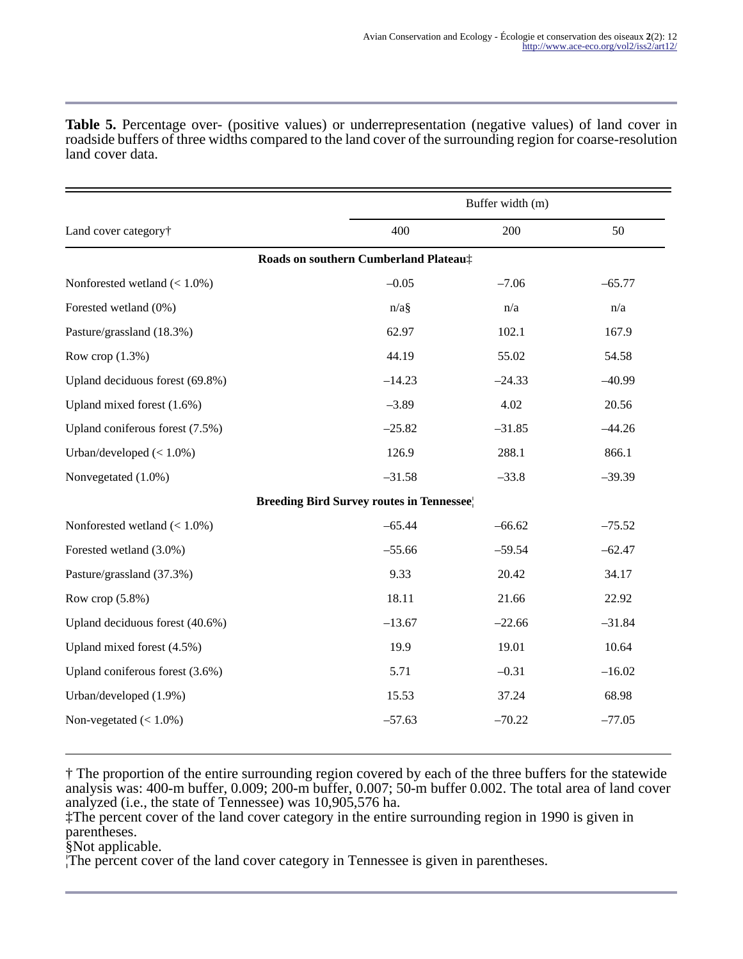Buffer width (m) Land cover category† 100 400 200 50 **Roads on southern Cumberland Plateau**‡ Nonforested wetland (< 1.0%) –0.05 –7.06 –65.77 Forested wetland (0%) n/a§ n/a n/a Pasture/grassland (18.3%) 62.97 102.1 167.9 Row crop (1.3%) 54.58 Upland deciduous forest  $(69.8\%)$   $-14.23$   $-24.33$   $-40.99$ Upland mixed forest (1.6%) –3.89 4.02 20.56 Upland coniferous forest (7.5%) –25.82 –31.85 –44.26 Urban/developed (< 1.0%) 126.9 288.1 866.1 Nonvegetated (1.0%) –31.58 –33.8 –39.39 **Breeding Bird Survey routes in Tennessee**¦ Nonforested wetland (< 1.0%)  $-65.44$   $-66.62$   $-75.52$ Forested wetland (3.0%) –55.66 –59.54 –62.47 Pasture/grassland (37.3%) 9.33 20.42 34.17 Row crop (5.8%) 18.11 21.66 22.92 Upland deciduous forest  $(40.6\%)$   $-13.67$   $-22.66$   $-31.84$ Upland mixed forest (4.5%) 19.9 19.01 10.64 Upland coniferous forest  $(3.6\%)$   $5.71$   $-0.31$   $-16.02$ Urban/developed (1.9%) 15.53 37.24 68.98 Non-vegetated (< 1.0%) –57.63 –70.22 –77.05

**Table 5.** Percentage over- (positive values) or underrepresentation (negative values) of land cover in roadside buffers of three widths compared to the land cover of the surrounding region for coarse-resolution land cover data.

† The proportion of the entire surrounding region covered by each of the three buffers for the statewide analysis was: 400-m buffer, 0.009; 200-m buffer, 0.007; 50-m buffer 0.002. The total area of land cover analyzed (i.e., the state of Tennessee) was 10,905,576 ha.

‡The percent cover of the land cover category in the entire surrounding region in 1990 is given in parentheses.

§Not applicable.

¦The percent cover of the land cover category in Tennessee is given in parentheses.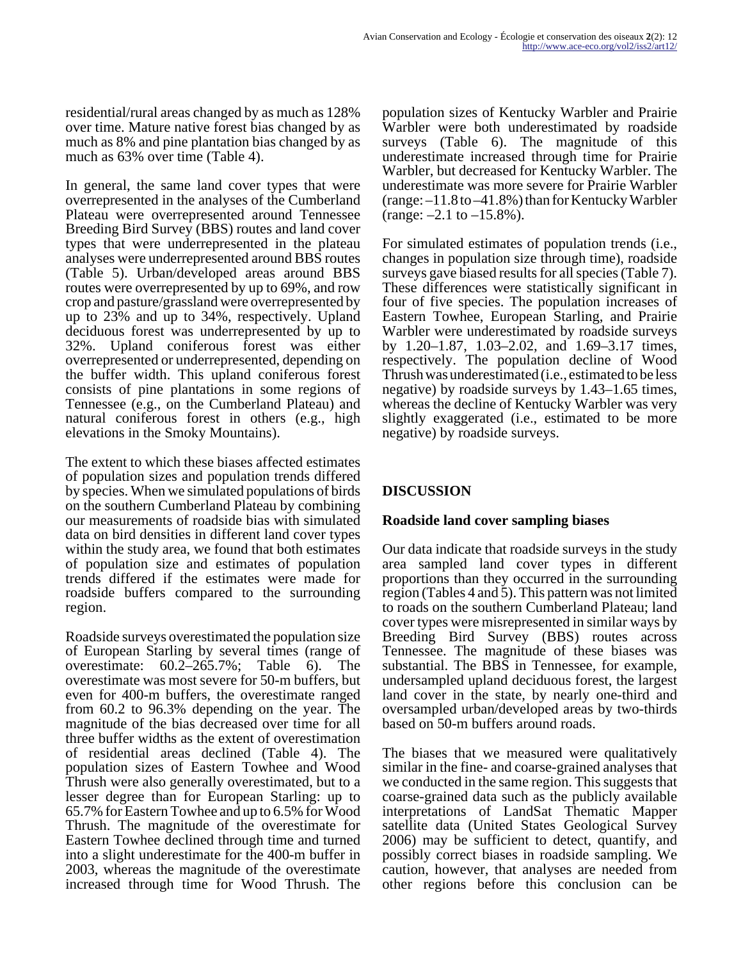residential/rural areas changed by as much as 128% over time. Mature native forest bias changed by as much as 8% and pine plantation bias changed by as much as 63% over time (Table 4).

In general, the same land cover types that were overrepresented in the analyses of the Cumberland Plateau were overrepresented around Tennessee Breeding Bird Survey (BBS) routes and land cover types that were underrepresented in the plateau analyses were underrepresented around BBS routes (Table 5). Urban/developed areas around BBS routes were overrepresented by up to 69%, and row crop and pasture/grassland were overrepresented by up to 23% and up to 34%, respectively. Upland deciduous forest was underrepresented by up to 32%. Upland coniferous forest was either overrepresented or underrepresented, depending on the buffer width. This upland coniferous forest consists of pine plantations in some regions of Tennessee (e.g., on the Cumberland Plateau) and natural coniferous forest in others (e.g., high elevations in the Smoky Mountains).

The extent to which these biases affected estimates of population sizes and population trends differed by species. When we simulated populations of birds on the southern Cumberland Plateau by combining our measurements of roadside bias with simulated data on bird densities in different land cover types within the study area, we found that both estimates of population size and estimates of population trends differed if the estimates were made for roadside buffers compared to the surrounding region.

Roadside surveys overestimated the population size of European Starling by several times (range of overestimate: 60.2–265.7%; Table 6). The overestimate was most severe for 50-m buffers, but even for 400-m buffers, the overestimate ranged from 60.2 to 96.3% depending on the year. The magnitude of the bias decreased over time for all three buffer widths as the extent of overestimation of residential areas declined (Table 4). The population sizes of Eastern Towhee and Wood Thrush were also generally overestimated, but to a lesser degree than for European Starling: up to 65.7% for Eastern Towhee and up to 6.5% for Wood Thrush. The magnitude of the overestimate for Eastern Towhee declined through time and turned into a slight underestimate for the 400-m buffer in 2003, whereas the magnitude of the overestimate increased through time for Wood Thrush. The

population sizes of Kentucky Warbler and Prairie Warbler were both underestimated by roadside surveys (Table 6). The magnitude of this underestimate increased through time for Prairie Warbler, but decreased for Kentucky Warbler. The underestimate was more severe for Prairie Warbler (range: –11.8 to –41.8%) than for Kentucky Warbler  $(range: -2.1 to -15.8\%).$ 

For simulated estimates of population trends (i.e., changes in population size through time), roadside surveys gave biased results for all species (Table 7). These differences were statistically significant in four of five species. The population increases of Eastern Towhee, European Starling, and Prairie Warbler were underestimated by roadside surveys by 1.20–1.87, 1.03–2.02, and 1.69–3.17 times, respectively. The population decline of Wood Thrush was underestimated (i.e., estimated to be less negative) by roadside surveys by 1.43–1.65 times, whereas the decline of Kentucky Warbler was very slightly exaggerated (i.e., estimated to be more negative) by roadside surveys.

## **DISCUSSION**

## **Roadside land cover sampling biases**

Our data indicate that roadside surveys in the study area sampled land cover types in different proportions than they occurred in the surrounding region (Tables 4 and 5). This pattern was not limited to roads on the southern Cumberland Plateau; land cover types were misrepresented in similar ways by Breeding Bird Survey (BBS) routes across Tennessee. The magnitude of these biases was substantial. The BBS in Tennessee, for example, undersampled upland deciduous forest, the largest land cover in the state, by nearly one-third and oversampled urban/developed areas by two-thirds based on 50-m buffers around roads.

The biases that we measured were qualitatively similar in the fine- and coarse-grained analyses that we conducted in the same region. This suggests that coarse-grained data such as the publicly available interpretations of LandSat Thematic Mapper satellite data (United States Geological Survey 2006) may be sufficient to detect, quantify, and possibly correct biases in roadside sampling. We caution, however, that analyses are needed from other regions before this conclusion can be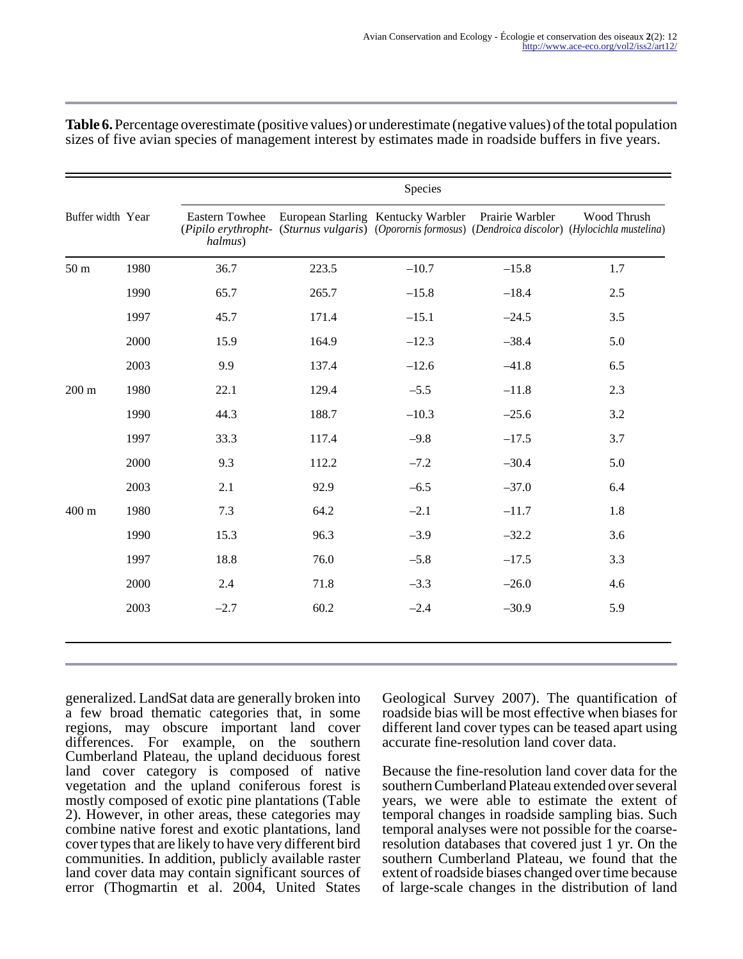|                   |      | Species                          |       |                                                    |         |                                                                                                                        |  |
|-------------------|------|----------------------------------|-------|----------------------------------------------------|---------|------------------------------------------------------------------------------------------------------------------------|--|
| Buffer width Year |      | <b>Eastern Towhee</b><br>halmus) |       | European Starling Kentucky Warbler Prairie Warbler |         | Wood Thrush<br>(Pipilo erythropht- (Sturnus vulgaris) (Oporornis formosus) (Dendroica discolor) (Hylocichla mustelina) |  |
| 50 <sub>m</sub>   | 1980 | 36.7                             | 223.5 | $-10.7$                                            | $-15.8$ | 1.7                                                                                                                    |  |
|                   | 1990 | 65.7                             | 265.7 | $-15.8$                                            | $-18.4$ | 2.5                                                                                                                    |  |
|                   | 1997 | 45.7                             | 171.4 | $-15.1$                                            | $-24.5$ | 3.5                                                                                                                    |  |
|                   | 2000 | 15.9                             | 164.9 | $-12.3$                                            | $-38.4$ | 5.0                                                                                                                    |  |
|                   | 2003 | 9.9                              | 137.4 | $-12.6$                                            | $-41.8$ | 6.5                                                                                                                    |  |
| $200 \text{ m}$   | 1980 | 22.1                             | 129.4 | $-5.5$                                             | $-11.8$ | 2.3                                                                                                                    |  |
|                   | 1990 | 44.3                             | 188.7 | $-10.3$                                            | $-25.6$ | 3.2                                                                                                                    |  |
|                   | 1997 | 33.3                             | 117.4 | $-9.8$                                             | $-17.5$ | 3.7                                                                                                                    |  |
|                   | 2000 | 9.3                              | 112.2 | $-7.2$                                             | $-30.4$ | 5.0                                                                                                                    |  |
|                   | 2003 | 2.1                              | 92.9  | $-6.5$                                             | $-37.0$ | 6.4                                                                                                                    |  |
| 400 m             | 1980 | 7.3                              | 64.2  | $-2.1$                                             | $-11.7$ | 1.8                                                                                                                    |  |
|                   | 1990 | 15.3                             | 96.3  | $-3.9$                                             | $-32.2$ | 3.6                                                                                                                    |  |
|                   | 1997 | 18.8                             | 76.0  | $-5.8$                                             | $-17.5$ | 3.3                                                                                                                    |  |
|                   | 2000 | 2.4                              | 71.8  | $-3.3$                                             | $-26.0$ | 4.6                                                                                                                    |  |
|                   | 2003 | $-2.7$                           | 60.2  | $-2.4$                                             | $-30.9$ | 5.9                                                                                                                    |  |

**Table 6.** Percentage overestimate (positive values) or underestimate (negative values) of the total population sizes of five avian species of management interest by estimates made in roadside buffers in five years.

generalized. LandSat data are generally broken into a few broad thematic categories that, in some regions, may obscure important land cover differences. For example, on the southern Cumberland Plateau, the upland deciduous forest land cover category is composed of native vegetation and the upland coniferous forest is mostly composed of exotic pine plantations (Table 2). However, in other areas, these categories may combine native forest and exotic plantations, land cover types that are likely to have very different bird communities. In addition, publicly available raster land cover data may contain significant sources of error (Thogmartin et al. 2004, United States

Geological Survey 2007). The quantification of roadside bias will be most effective when biases for different land cover types can be teased apart using accurate fine-resolution land cover data.

Because the fine-resolution land cover data for the southern Cumberland Plateau extended over several years, we were able to estimate the extent of temporal changes in roadside sampling bias. Such temporal analyses were not possible for the coarseresolution databases that covered just 1 yr. On the southern Cumberland Plateau, we found that the extent of roadside biases changed over time because of large-scale changes in the distribution of land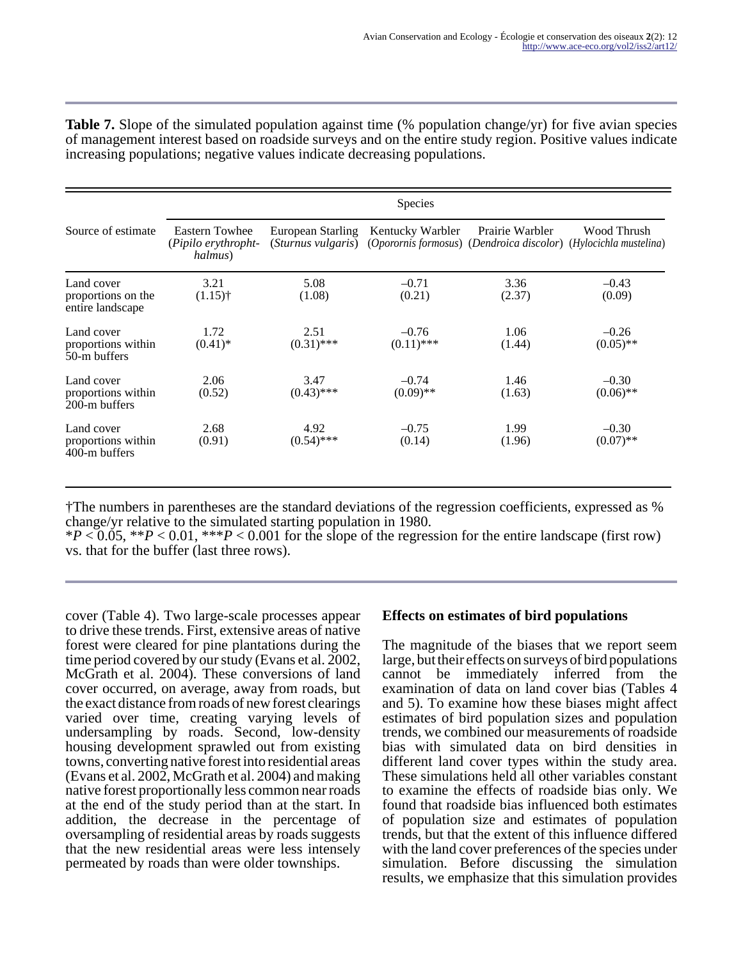**Table 7.** Slope of the simulated population against time (% population change/yr) for five avian species of management interest based on roadside surveys and on the entire study region. Positive values indicate increasing populations; negative values indicate decreasing populations.

|                                                      | <b>Species</b>                                          |                                         |                         |                                                                                     |                        |  |
|------------------------------------------------------|---------------------------------------------------------|-----------------------------------------|-------------------------|-------------------------------------------------------------------------------------|------------------------|--|
| Source of estimate                                   | <b>Eastern Towhee</b><br>(Pipilo erythropht-<br>halmus) | European Starling<br>(Sturnus vulgaris) | Kentucky Warbler        | Prairie Warbler<br>(Oporornis formosus) (Dendroica discolor) (Hylocichla mustelina) | Wood Thrush            |  |
| Land cover<br>proportions on the<br>entire landscape | 3.21<br>$(1.15)$ †                                      | 5.08<br>(1.08)                          | $-0.71$<br>(0.21)       | 3.36<br>(2.37)                                                                      | $-0.43$<br>(0.09)      |  |
| Land cover<br>proportions within<br>50-m buffers     | 1.72<br>$(0.41)$ *                                      | 2.51<br>$(0.31)$ ***                    | $-0.76$<br>$(0.11)$ *** | 1.06<br>(1.44)                                                                      | $-0.26$<br>$(0.05)$ ** |  |
| Land cover<br>proportions within<br>200-m buffers    | 2.06<br>(0.52)                                          | 3.47<br>$(0.43)$ ***                    | $-0.74$<br>$(0.09)$ **  | 1.46<br>(1.63)                                                                      | $-0.30$<br>$(0.06)$ ** |  |
| Land cover<br>proportions within<br>400-m buffers    | 2.68<br>(0.91)                                          | 4.92<br>$(0.54)$ ***                    | $-0.75$<br>(0.14)       | 1.99<br>(1.96)                                                                      | $-0.30$<br>$(0.07)$ ** |  |

†The numbers in parentheses are the standard deviations of the regression coefficients, expressed as % change/yr relative to the simulated starting population in 1980.

 $*P < 0.05$ ,  $*P < 0.01$ ,  $**P < 0.001$  for the slope of the regression for the entire landscape (first row) vs. that for the buffer (last three rows).

cover (Table 4). Two large-scale processes appear to drive these trends. First, extensive areas of native forest were cleared for pine plantations during the time period covered by our study (Evans et al. 2002, McGrath et al. 2004). These conversions of land cover occurred, on average, away from roads, but the exact distance from roads of new forest clearings varied over time, creating varying levels of undersampling by roads. Second, low-density housing development sprawled out from existing towns, converting native forest into residential areas (Evans et al. 2002, McGrath et al. 2004) and making native forest proportionally less common near roads at the end of the study period than at the start. In addition, the decrease in the percentage of oversampling of residential areas by roads suggests that the new residential areas were less intensely permeated by roads than were older townships.

#### **Effects on estimates of bird populations**

The magnitude of the biases that we report seem large, but their effects on surveys of bird populations cannot be immediately inferred from the examination of data on land cover bias (Tables 4 and 5). To examine how these biases might affect estimates of bird population sizes and population trends, we combined our measurements of roadside bias with simulated data on bird densities in different land cover types within the study area. These simulations held all other variables constant to examine the effects of roadside bias only. We found that roadside bias influenced both estimates of population size and estimates of population trends, but that the extent of this influence differed with the land cover preferences of the species under simulation. Before discussing the simulation results, we emphasize that this simulation provides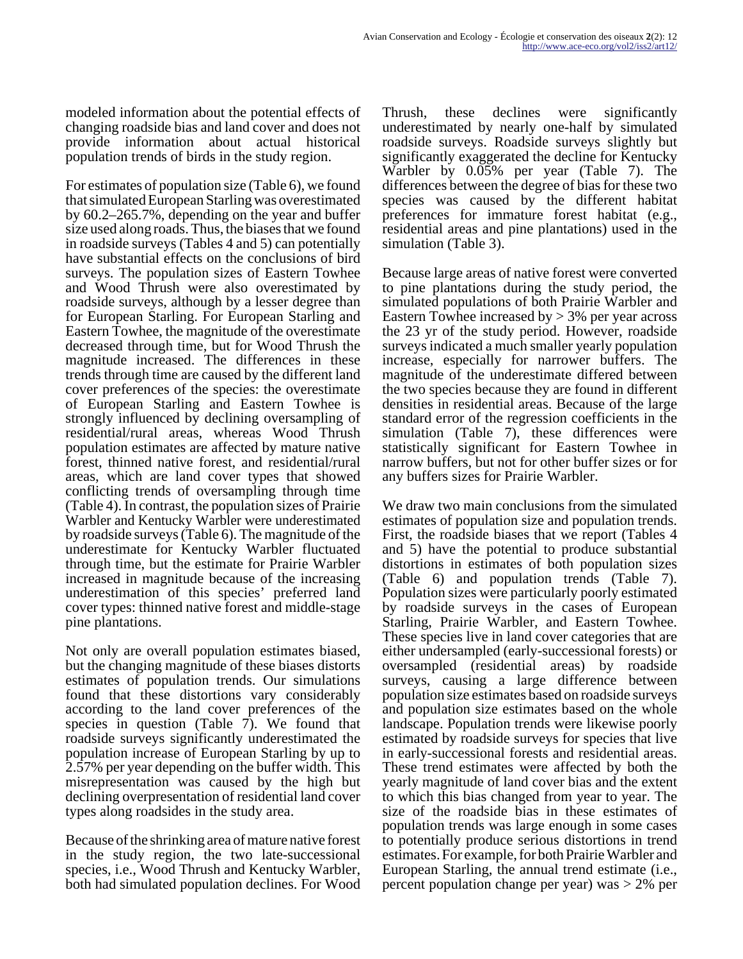modeled information about the potential effects of changing roadside bias and land cover and does not provide information about actual historical population trends of birds in the study region.

For estimates of population size (Table 6), we found that simulated European Starling was overestimated by 60.2–265.7%, depending on the year and buffer size used along roads. Thus, the biases that we found in roadside surveys (Tables 4 and 5) can potentially have substantial effects on the conclusions of bird surveys. The population sizes of Eastern Towhee and Wood Thrush were also overestimated by roadside surveys, although by a lesser degree than for European Starling. For European Starling and Eastern Towhee, the magnitude of the overestimate decreased through time, but for Wood Thrush the magnitude increased. The differences in these trends through time are caused by the different land cover preferences of the species: the overestimate of European Starling and Eastern Towhee is strongly influenced by declining oversampling of residential/rural areas, whereas Wood Thrush population estimates are affected by mature native forest, thinned native forest, and residential/rural areas, which are land cover types that showed conflicting trends of oversampling through time (Table 4). In contrast, the population sizes of Prairie Warbler and Kentucky Warbler were underestimated by roadside surveys (Table 6). The magnitude of the underestimate for Kentucky Warbler fluctuated through time, but the estimate for Prairie Warbler increased in magnitude because of the increasing underestimation of this species' preferred land cover types: thinned native forest and middle-stage pine plantations.

Not only are overall population estimates biased, but the changing magnitude of these biases distorts estimates of population trends. Our simulations found that these distortions vary considerably according to the land cover preferences of the species in question (Table 7). We found that roadside surveys significantly underestimated the population increase of European Starling by up to 2.57% per year depending on the buffer width. This misrepresentation was caused by the high but declining overpresentation of residential land cover types along roadsides in the study area.

Because of the shrinking area of mature native forest in the study region, the two late-successional species, i.e., Wood Thrush and Kentucky Warbler, both had simulated population declines. For Wood

Thrush, these declines were significantly underestimated by nearly one-half by simulated roadside surveys. Roadside surveys slightly but significantly exaggerated the decline for Kentucky Warbler by 0.05% per year (Table 7). The differences between the degree of bias for these two species was caused by the different habitat preferences for immature forest habitat (e.g., residential areas and pine plantations) used in the simulation (Table 3).

Because large areas of native forest were converted to pine plantations during the study period, the simulated populations of both Prairie Warbler and Eastern Towhee increased by  $>$  3% per year across the 23 yr of the study period. However, roadside surveys indicated a much smaller yearly population increase, especially for narrower buffers. The magnitude of the underestimate differed between the two species because they are found in different densities in residential areas. Because of the large standard error of the regression coefficients in the simulation (Table 7), these differences were statistically significant for Eastern Towhee in narrow buffers, but not for other buffer sizes or for any buffers sizes for Prairie Warbler.

We draw two main conclusions from the simulated estimates of population size and population trends. First, the roadside biases that we report (Tables 4 and 5) have the potential to produce substantial distortions in estimates of both population sizes (Table 6) and population trends (Table 7). Population sizes were particularly poorly estimated by roadside surveys in the cases of European Starling, Prairie Warbler, and Eastern Towhee. These species live in land cover categories that are either undersampled (early-successional forests) or oversampled (residential areas) by roadside surveys, causing a large difference between population size estimates based on roadside surveys and population size estimates based on the whole landscape. Population trends were likewise poorly estimated by roadside surveys for species that live in early-successional forests and residential areas. These trend estimates were affected by both the yearly magnitude of land cover bias and the extent to which this bias changed from year to year. The size of the roadside bias in these estimates of population trends was large enough in some cases to potentially produce serious distortions in trend estimates. For example, for both Prairie Warbler and European Starling, the annual trend estimate (i.e., percent population change per year) was > 2% per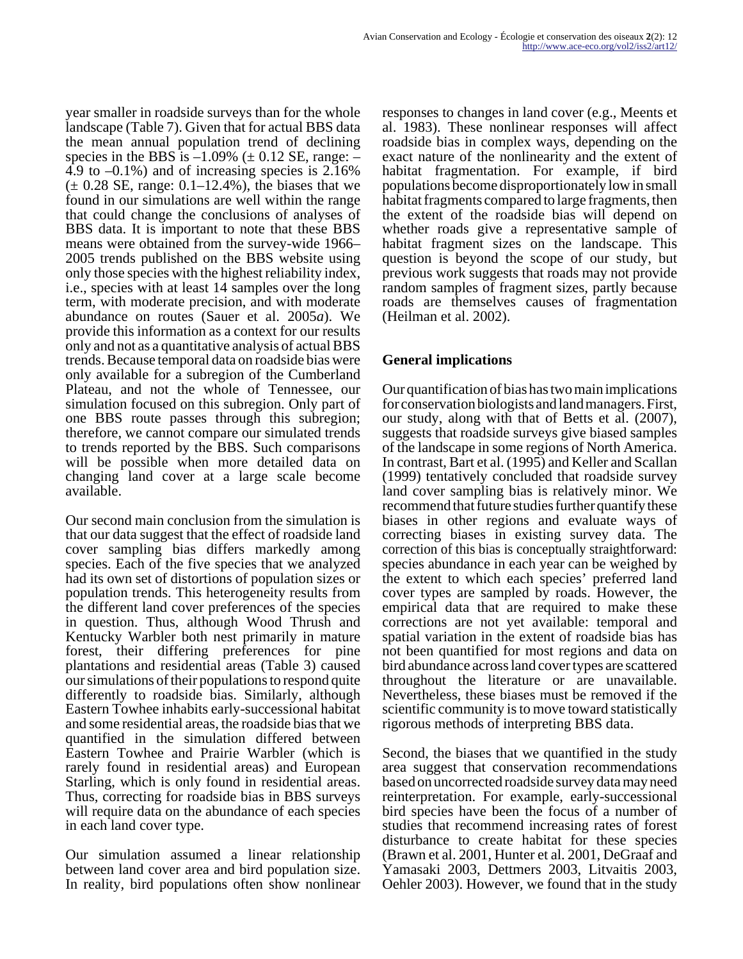year smaller in roadside surveys than for the whole landscape (Table 7). Given that for actual BBS data the mean annual population trend of declining species in the BBS is  $-1.09\%$  ( $\pm$  0.12 SE, range:  $-$ 4.9 to  $-0.1\%$ ) and of increasing species is 2.16%  $(\pm 0.28$  SE, range: 0.1–12.4%), the biases that we found in our simulations are well within the range that could change the conclusions of analyses of BBS data. It is important to note that these BBS means were obtained from the survey-wide 1966– 2005 trends published on the BBS website using only those species with the highest reliability index, i.e., species with at least 14 samples over the long term, with moderate precision, and with moderate abundance on routes (Sauer et al. 2005*a*). We provide this information as a context for our results only and not as a quantitative analysis of actual BBS trends. Because temporal data on roadside bias were only available for a subregion of the Cumberland Plateau, and not the whole of Tennessee, our simulation focused on this subregion. Only part of one BBS route passes through this subregion; therefore, we cannot compare our simulated trends to trends reported by the BBS. Such comparisons will be possible when more detailed data on changing land cover at a large scale become available.

Our second main conclusion from the simulation is that our data suggest that the effect of roadside land cover sampling bias differs markedly among species. Each of the five species that we analyzed had its own set of distortions of population sizes or population trends. This heterogeneity results from the different land cover preferences of the species in question. Thus, although Wood Thrush and Kentucky Warbler both nest primarily in mature forest, their differing preferences for pine plantations and residential areas (Table 3) caused our simulations of their populations to respond quite differently to roadside bias. Similarly, although Eastern Towhee inhabits early-successional habitat and some residential areas, the roadside bias that we quantified in the simulation differed between Eastern Towhee and Prairie Warbler (which is rarely found in residential areas) and European Starling, which is only found in residential areas. Thus, correcting for roadside bias in BBS surveys will require data on the abundance of each species in each land cover type.

Our simulation assumed a linear relationship between land cover area and bird population size. In reality, bird populations often show nonlinear responses to changes in land cover (e.g., Meents et al. 1983). These nonlinear responses will affect roadside bias in complex ways, depending on the exact nature of the nonlinearity and the extent of habitat fragmentation. For example, if bird populations become disproportionately low in small habitat fragments compared to large fragments, then the extent of the roadside bias will depend on whether roads give a representative sample of habitat fragment sizes on the landscape. This question is beyond the scope of our study, but previous work suggests that roads may not provide random samples of fragment sizes, partly because roads are themselves causes of fragmentation (Heilman et al. 2002).

## **General implications**

Our quantification of bias has two main implications for conservation biologists and land managers. First, our study, along with that of Betts et al. (2007), suggests that roadside surveys give biased samples of the landscape in some regions of North America. In contrast, Bart et al. (1995) and Keller and Scallan (1999) tentatively concluded that roadside survey land cover sampling bias is relatively minor. We recommend that future studies further quantify these biases in other regions and evaluate ways of correcting biases in existing survey data. The correction of this bias is conceptually straightforward: species abundance in each year can be weighed by the extent to which each species' preferred land cover types are sampled by roads. However, the empirical data that are required to make these corrections are not yet available: temporal and spatial variation in the extent of roadside bias has not been quantified for most regions and data on bird abundance across land cover types are scattered throughout the literature or are unavailable. Nevertheless, these biases must be removed if the scientific community is to move toward statistically rigorous methods of interpreting BBS data.

Second, the biases that we quantified in the study area suggest that conservation recommendations based on uncorrected roadside survey data may need reinterpretation. For example, early-successional bird species have been the focus of a number of studies that recommend increasing rates of forest disturbance to create habitat for these species (Brawn et al. 2001, Hunter et al. 2001, DeGraaf and Yamasaki 2003, Dettmers 2003, Litvaitis 2003, Oehler 2003). However, we found that in the study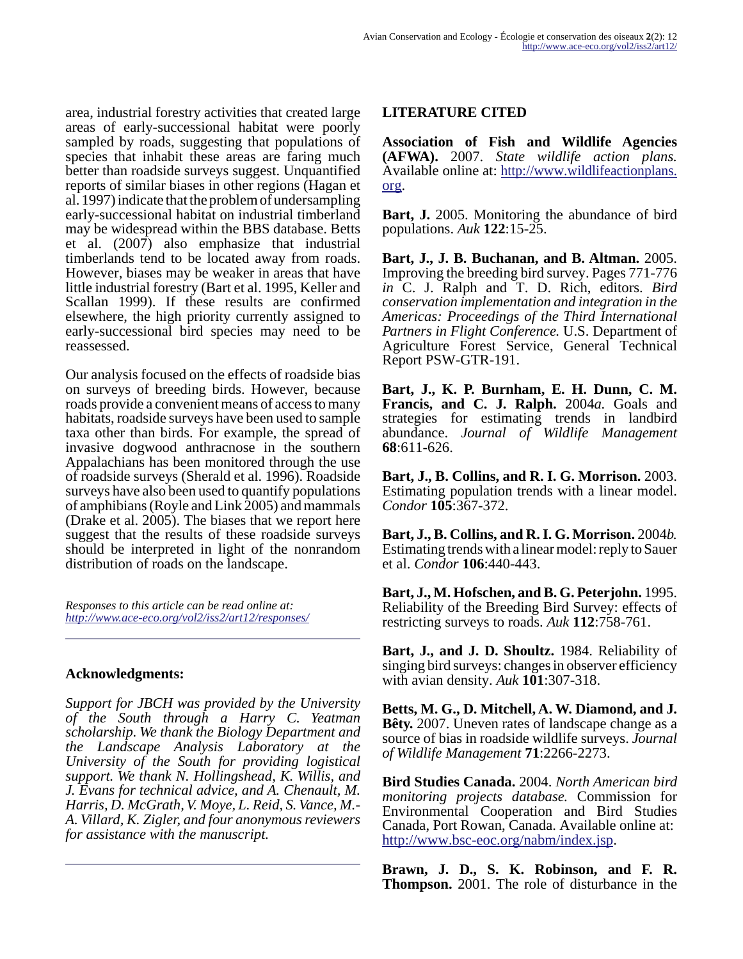area, industrial forestry activities that created large areas of early-successional habitat were poorly sampled by roads, suggesting that populations of species that inhabit these areas are faring much better than roadside surveys suggest. Unquantified reports of similar biases in other regions (Hagan et al. 1997) indicate that the problem of undersampling early-successional habitat on industrial timberland may be widespread within the BBS database. Betts et al. (2007) also emphasize that industrial timberlands tend to be located away from roads. However, biases may be weaker in areas that have little industrial forestry (Bart et al. 1995, Keller and Scallan 1999). If these results are confirmed elsewhere, the high priority currently assigned to early-successional bird species may need to be reassessed.

Our analysis focused on the effects of roadside bias on surveys of breeding birds. However, because roads provide a convenient means of access to many habitats, roadside surveys have been used to sample taxa other than birds. For example, the spread of invasive dogwood anthracnose in the southern Appalachians has been monitored through the use of roadside surveys (Sherald et al. 1996). Roadside surveys have also been used to quantify populations of amphibians (Royle and Link 2005) and mammals (Drake et al. 2005). The biases that we report here suggest that the results of these roadside surveys should be interpreted in light of the nonrandom distribution of roads on the landscape.

*Responses to this article can be read online at: <http://www.ace-eco.org/vol2/iss2/art12/responses/>*

## **Acknowledgments:**

*Support for JBCH was provided by the University of the South through a Harry C. Yeatman scholarship. We thank the Biology Department and the Landscape Analysis Laboratory at the University of the South for providing logistical support. We thank N. Hollingshead, K. Willis, and J. Evans for technical advice, and A. Chenault, M. Harris, D. McGrath, V. Moye, L. Reid, S. Vance, M.- A. Villard, K. Zigler, and four anonymous reviewers for assistance with the manuscript.*

#### **LITERATURE CITED**

**Association of Fish and Wildlife Agencies (AFWA).** 2007. *State wildlife action plans.* Available online at: [http://www.wildlifeactionplans.](http://www.wildlifeactionplans.org) [org.](http://www.wildlifeactionplans.org)

**Bart, J.** 2005. Monitoring the abundance of bird populations. *Auk* **122**:15-25.

**Bart, J., J. B. Buchanan, and B. Altman.** 2005. Improving the breeding bird survey. Pages 771-776 *in* C. J. Ralph and T. D. Rich, editors. *Bird conservation implementation and integration in the Americas: Proceedings of the Third International Partners in Flight Conference.* U.S. Department of Agriculture Forest Service, General Technical Report PSW-GTR-191.

**Bart, J., K. P. Burnham, E. H. Dunn, C. M. Francis, and C. J. Ralph.** 2004*a.* Goals and strategies for estimating trends in landbird abundance. *Journal of Wildlife Management* **68**:611-626.

**Bart, J., B. Collins, and R. I. G. Morrison.** 2003. Estimating population trends with a linear model. *Condor* **105**:367-372.

**Bart, J., B. Collins, and R. I. G. Morrison.** 2004*b.* Estimating trends with a linear model: reply to Sauer et al. *Condor* **106**:440-443.

**Bart, J., M. Hofschen, and B. G. Peterjohn.** 1995. Reliability of the Breeding Bird Survey: effects of restricting surveys to roads. *Auk* **112**:758-761.

**Bart, J., and J. D. Shoultz.** 1984. Reliability of singing bird surveys: changes in observer efficiency with avian density. *Auk* **101**:307-318.

**Betts, M. G., D. Mitchell, A. W. Diamond, and J. Bêty.** 2007. Uneven rates of landscape change as a source of bias in roadside wildlife surveys. *Journal of Wildlife Management* **71**:2266-2273.

**Bird Studies Canada.** 2004. *North American bird monitoring projects database.* Commission for Environmental Cooperation and Bird Studies Canada, Port Rowan, Canada. Available online at: <http://www.bsc-eoc.org/nabm/index.jsp>.

**Brawn, J. D., S. K. Robinson, and F. R. Thompson.** 2001. The role of disturbance in the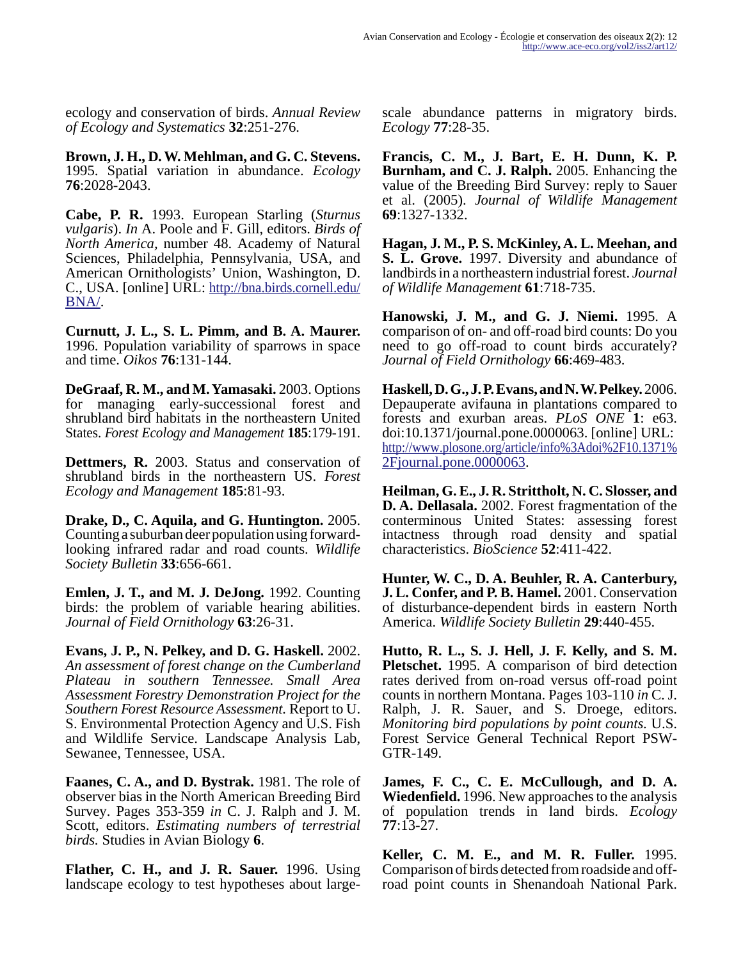ecology and conservation of birds. *Annual Review of Ecology and Systematics* **32**:251-276.

**Brown, J. H., D. W. Mehlman, and G. C. Stevens.** 1995. Spatial variation in abundance. *Ecology* **76**:2028-2043.

**Cabe, P. R.** 1993. European Starling (*Sturnus vulgaris*). *In* A. Poole and F. Gill, editors. *Birds of North America,* number 48. Academy of Natural Sciences, Philadelphia, Pennsylvania, USA, and American Ornithologists' Union, Washington, D. C., USA. [online] URL: [http://bna.birds.cornell.edu/](http://bna.birds.cornell.edu/BNA/) [BNA/.](http://bna.birds.cornell.edu/BNA/)

**Curnutt, J. L., S. L. Pimm, and B. A. Maurer.** 1996. Population variability of sparrows in space and time. *Oikos* **76**:131-144.

**DeGraaf, R. M., and M. Yamasaki.** 2003. Options for managing early-successional forest and shrubland bird habitats in the northeastern United States. *Forest Ecology and Management* **185**:179-191.

**Dettmers, R.** 2003. Status and conservation of shrubland birds in the northeastern US. *Forest Ecology and Management* **185**:81-93.

**Drake, D., C. Aquila, and G. Huntington.** 2005. Counting a suburban deer population using forwardlooking infrared radar and road counts. *Wildlife Society Bulletin* **33**:656-661.

**Emlen, J. T., and M. J. DeJong.** 1992. Counting birds: the problem of variable hearing abilities. *Journal of Field Ornithology* **63**:26-31.

**Evans, J. P., N. Pelkey, and D. G. Haskell.** 2002. *An assessment of forest change on the Cumberland Plateau in southern Tennessee. Small Area Assessment Forestry Demonstration Project for the Southern Forest Resource Assessment.* Report to U. S. Environmental Protection Agency and U.S. Fish and Wildlife Service. Landscape Analysis Lab, Sewanee, Tennessee, USA.

**Faanes, C. A., and D. Bystrak.** 1981. The role of observer bias in the North American Breeding Bird Survey. Pages 353-359 *in* C. J. Ralph and J. M. Scott, editors. *Estimating numbers of terrestrial birds.* Studies in Avian Biology **6**.

**Flather, C. H., and J. R. Sauer.** 1996. Using landscape ecology to test hypotheses about largescale abundance patterns in migratory birds. *Ecology* **77**:28-35.

**Francis, C. M., J. Bart, E. H. Dunn, K. P. Burnham, and C. J. Ralph.** 2005. Enhancing the value of the Breeding Bird Survey: reply to Sauer et al. (2005). *Journal of Wildlife Management* **69**:1327-1332.

**Hagan, J. M., P. S. McKinley, A. L. Meehan, and S. L. Grove.** 1997. Diversity and abundance of landbirds in a northeastern industrial forest. *Journal of Wildlife Management* **61**:718-735.

**Hanowski, J. M., and G. J. Niemi.** 1995. A comparison of on- and off-road bird counts: Do you need to go off-road to count birds accurately? *Journal of Field Ornithology* **66**:469-483.

**Haskell, D. G., J. P. Evans, and N. W. Pelkey.** 2006. Depauperate avifauna in plantations compared to forests and exurban areas. *PLoS ONE* **1**: e63. doi:10.1371/journal.pone.0000063. [online] URL: [http://www.plosone.org/article/info%3Adoi%2F10.1371%](http://www.plosone.org/article/info%3Adoi%2F10.1371%2Fjournal.pone.0000063) [2Fjournal.pone.0000063.](http://www.plosone.org/article/info%3Adoi%2F10.1371%2Fjournal.pone.0000063)

**Heilman, G. E., J. R. Strittholt, N. C. Slosser, and D. A. Dellasala.** 2002. Forest fragmentation of the conterminous United States: assessing forest intactness through road density and spatial characteristics. *BioScience* **52**:411-422.

**Hunter, W. C., D. A. Beuhler, R. A. Canterbury, J. L. Confer, and P. B. Hamel.** 2001. Conservation of disturbance-dependent birds in eastern North America. *Wildlife Society Bulletin* **29**:440-455.

**Hutto, R. L., S. J. Hell, J. F. Kelly, and S. M. Pletschet.** 1995. A comparison of bird detection rates derived from on-road versus off-road point counts in northern Montana. Pages 103-110 *in* C. J. Ralph, J. R. Sauer, and S. Droege, editors. *Monitoring bird populations by point counts.* U.S. Forest Service General Technical Report PSW-GTR-149.

**James, F. C., C. E. McCullough, and D. A. Wiedenfield.** 1996. New approaches to the analysis of population trends in land birds. *Ecology* **77**:13-27.

**Keller, C. M. E., and M. R. Fuller.** 1995. Comparison of birds detected from roadside and offroad point counts in Shenandoah National Park.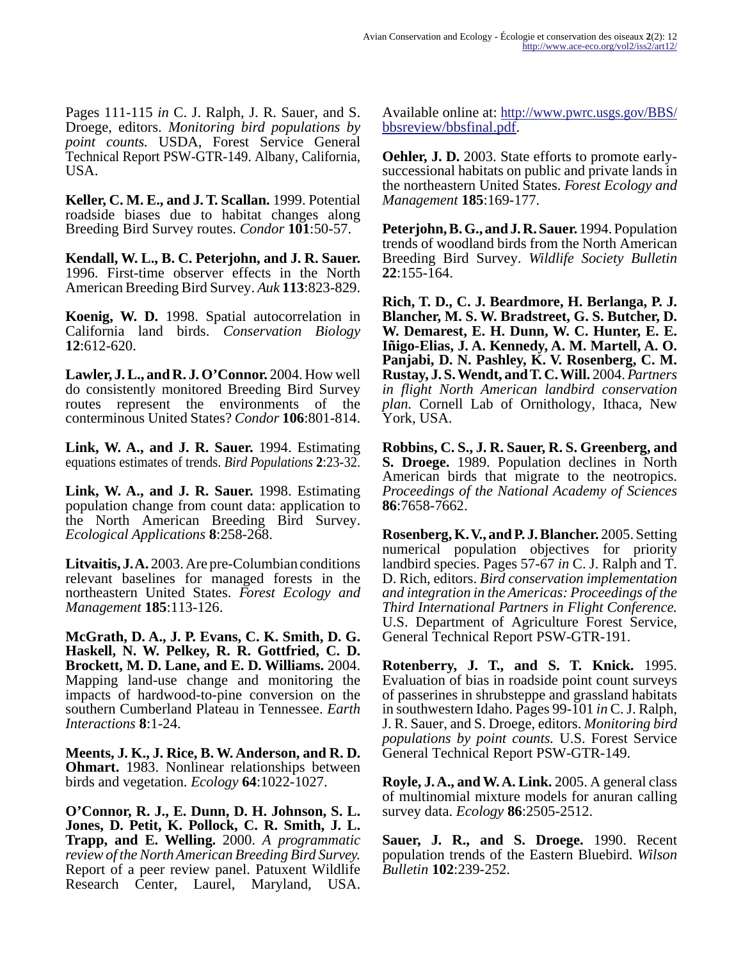Pages 111-115 *in* C. J. Ralph, J. R. Sauer, and S. Droege, editors. *Monitoring bird populations by point counts.* USDA, Forest Service General Technical Report PSW-GTR-149. Albany, California, USA.

**Keller, C. M. E., and J. T. Scallan.** 1999. Potential roadside biases due to habitat changes along Breeding Bird Survey routes. *Condor* **101**:50-57.

**Kendall, W. L., B. C. Peterjohn, and J. R. Sauer.** 1996. First-time observer effects in the North American Breeding Bird Survey. *Auk* **113**:823-829.

**Koenig, W. D.** 1998. Spatial autocorrelation in California land birds. *Conservation Biology* **12**:612-620.

**Lawler, J. L., and R. J. O'Connor.** 2004. How well do consistently monitored Breeding Bird Survey routes represent the environments of the conterminous United States? *Condor* **106**:801-814.

**Link, W. A., and J. R. Sauer.** 1994. Estimating equations estimates of trends. *Bird Populations* **2**:23-32.

**Link, W. A., and J. R. Sauer.** 1998. Estimating population change from count data: application to the North American Breeding Bird Survey. *Ecological Applications* **8**:258-268.

**Litvaitis, J. A.** 2003. Are pre-Columbian conditions relevant baselines for managed forests in the northeastern United States. *Forest Ecology and Management* **185**:113-126.

**McGrath, D. A., J. P. Evans, C. K. Smith, D. G. Haskell, N. W. Pelkey, R. R. Gottfried, C. D. Brockett, M. D. Lane, and E. D. Williams.** 2004. Mapping land-use change and monitoring the impacts of hardwood-to-pine conversion on the southern Cumberland Plateau in Tennessee. *Earth Interactions* **8**:1-24.

**Meents, J. K., J. Rice, B. W. Anderson, and R. D. Ohmart.** 1983. Nonlinear relationships between birds and vegetation. *Ecology* **64**:1022-1027.

**O'Connor, R. J., E. Dunn, D. H. Johnson, S. L. Jones, D. Petit, K. Pollock, C. R. Smith, J. L. Trapp, and E. Welling.** 2000. *A programmatic review of the North American Breeding Bird Survey.* Report of a peer review panel. Patuxent Wildlife Research Center, Laurel, Maryland, USA.

Available online at: [http://www.pwrc.usgs.gov/BBS/](http://www.pwrc.usgs.gov/BBS/bbsreview/bbsfinal.pdf) [bbsreview/bbsfinal.pdf](http://www.pwrc.usgs.gov/BBS/bbsreview/bbsfinal.pdf).

**Oehler, J. D.** 2003. State efforts to promote earlysuccessional habitats on public and private lands in the northeastern United States. *Forest Ecology and Management* **185**:169-177.

**Peterjohn, B. G., and J. R. Sauer.** 1994. Population trends of woodland birds from the North American Breeding Bird Survey. *Wildlife Society Bulletin* **22**:155-164.

**Rich, T. D., C. J. Beardmore, H. Berlanga, P. J. Blancher, M. S. W. Bradstreet, G. S. Butcher, D. W. Demarest, E. H. Dunn, W. C. Hunter, E. E. Iñigo-Elias, J. A. Kennedy, A. M. Martell, A. O. Panjabi, D. N. Pashley, K. V. Rosenberg, C. M. Rustay, J. S. Wendt, and T. C. Will.** 2004. *Partners in flight North American landbird conservation plan.* Cornell Lab of Ornithology, Ithaca, New York, USA.

**Robbins, C. S., J. R. Sauer, R. S. Greenberg, and S. Droege.** 1989. Population declines in North American birds that migrate to the neotropics. *Proceedings of the National Academy of Sciences* **86**:7658-7662.

**Rosenberg, K. V., and P. J. Blancher.** 2005. Setting numerical population objectives for priority landbird species. Pages 57-67 *in* C. J. Ralph and T. D. Rich, editors. *Bird conservation implementation and integration in the Americas: Proceedings of the Third International Partners in Flight Conference.* U.S. Department of Agriculture Forest Service, General Technical Report PSW-GTR-191.

**Rotenberry, J. T., and S. T. Knick.** 1995. Evaluation of bias in roadside point count surveys of passerines in shrubsteppe and grassland habitats in southwestern Idaho. Pages 99-101 *in* C. J. Ralph, J. R. Sauer, and S. Droege, editors. *Monitoring bird populations by point counts.* U.S. Forest Service General Technical Report PSW-GTR-149.

**Royle, J. A., and W. A. Link.** 2005. A general class of multinomial mixture models for anuran calling survey data. *Ecology* **86**:2505-2512.

**Sauer, J. R., and S. Droege.** 1990. Recent population trends of the Eastern Bluebird. *Wilson Bulletin* **102**:239-252.